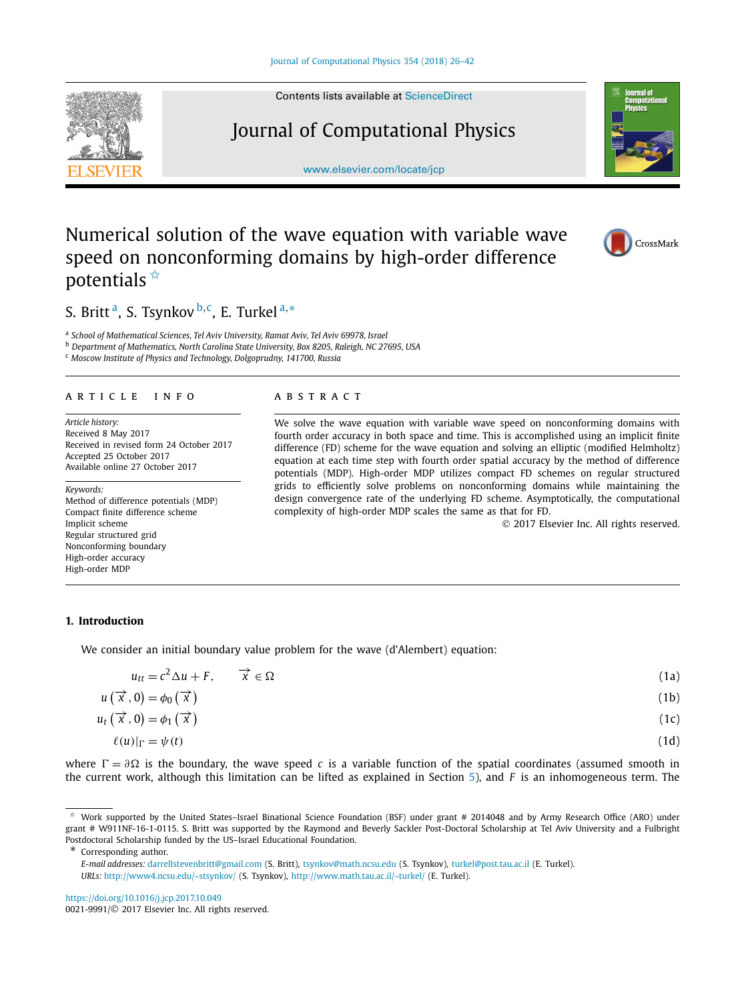<span id="page-0-0"></span>

Contents lists available at [ScienceDirect](http://www.ScienceDirect.com/)

# Journal of Computational Physics

[www.elsevier.com/locate/jcp](http://www.elsevier.com/locate/jcp)



# Numerical solution of the wave equation with variable wave speed on nonconforming domains by high-order difference potentials  $\hat{A}$



# S. Britt a, S. Tsynkov <sup>b</sup>*,*c, E. Turkel <sup>a</sup>*,*<sup>∗</sup>

<sup>a</sup> *School of Mathematical Sciences, Tel Aviv University, Ramat Aviv, Tel Aviv 69978, Israel*

<sup>b</sup> *Department of Mathematics, North Carolina State University, Box 8205, Raleigh, NC 27695, USA*

<sup>c</sup> *Moscow Institute of Physics and Technology, Dolgoprudny, 141700, Russia*

#### A R T I C L E IN F O A B S T R A C T

*Article history:* Received 8 May 2017 Received in revised form 24 October 2017 Accepted 25 October 2017 Available online 27 October 2017

*Keywords:* Method of difference potentials (MDP) Compact finite difference scheme Implicit scheme Regular structured grid Nonconforming boundary High-order accuracy High-order MDP

We solve the wave equation with variable wave speed on nonconforming domains with fourth order accuracy in both space and time. This is accomplished using an implicit finite difference (FD) scheme for the wave equation and solving an elliptic (modified Helmholtz) equation at each time step with fourth order spatial accuracy by the method of difference potentials (MDP). High-order MDP utilizes compact FD schemes on regular structured grids to efficiently solve problems on nonconforming domains while maintaining the design convergence rate of the underlying FD scheme. Asymptotically, the computational complexity of high-order MDP scales the same as that for FD.

© 2017 Elsevier Inc. All rights reserved.

# **1. Introduction**

We consider an initial boundary value problem for the wave (d'Alembert) equation:

| $u_{tt} = c^2 \Delta u + F, \qquad \overrightarrow{x} \in \Omega$ | (1a) |
|-------------------------------------------------------------------|------|
| $u(\vec{x},0) = \phi_0(\vec{x})$                                  | (1b) |
| $u_t(\vec{x},0) = \phi_1(\vec{x})$                                | (1c) |
| $\ell(u) _{\Gamma} = \psi(t)$                                     | (1d) |

where  $\Gamma = \partial \Omega$  is the boundary, the wave speed *c* is a variable function of the spatial coordinates (assumed smooth in the current work, although this limitation can be lifted as explained in Section [5\)](#page-14-0), and *F* is an inhomogeneous term. The

Corresponding author.

<https://doi.org/10.1016/j.jcp.2017.10.049>

0021-9991/© 2017 Elsevier Inc. All rights reserved.

Work supported by the United States–Israel Binational Science Foundation (BSF) under grant # 2014048 and by Army Research Office (ARO) under grant # W911NF-16-1-0115. S. Britt was supported by the Raymond and Beverly Sackler Post-Doctoral Scholarship at Tel Aviv University and a Fulbright Postdoctoral Scholarship funded by the US–Israel Educational Foundation.

*E-mail addresses:* [darrellstevenbritt@gmail.com](mailto:darrellstevenbritt@gmail.com) (S. Britt), [tsynkov@math.ncsu.edu](mailto:tsynkov@math.ncsu.edu) (S. Tsynkov), [turkel@post.tau.ac.il](mailto:turkel@post.tau.ac.il) (E. Turkel).

*URLs:* <http://www4.ncsu.edu/~stsynkov/> (S. Tsynkov), <http://www.math.tau.ac.il/~turkel/> (E. Turkel).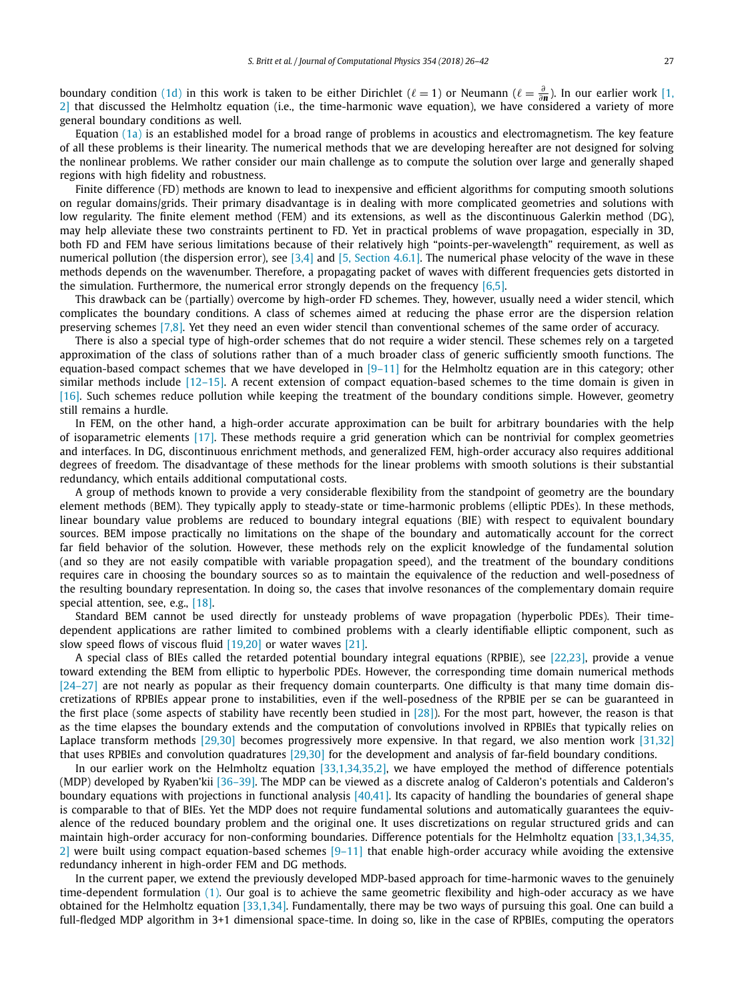boundary condition [\(1d\)](#page-0-0) in this work is taken to be either Dirichlet ( $\ell = 1$ ) or Neumann ( $\ell = \frac{\partial}{\partial n}$ ). In our earlier work [\[1,](#page-15-0) [2\]](#page-15-0) that discussed the Helmholtz equation (i.e., the time-harmonic wave equation), we have considered a variety of more general boundary conditions as well.

Equation  $(1a)$  is an established model for a broad range of problems in acoustics and electromagnetism. The key feature of all these problems is their linearity. The numerical methods that we are developing hereafter are not designed for solving the nonlinear problems. We rather consider our main challenge as to compute the solution over large and generally shaped regions with high fidelity and robustness.

Finite difference (FD) methods are known to lead to inexpensive and efficient algorithms for computing smooth solutions on regular domains/grids. Their primary disadvantage is in dealing with more complicated geometries and solutions with low regularity. The finite element method (FEM) and its extensions, as well as the discontinuous Galerkin method (DG), may help alleviate these two constraints pertinent to FD. Yet in practical problems of wave propagation, especially in 3D, both FD and FEM have serious limitations because of their relatively high "points-per-wavelength" requirement, as well as numerical pollution (the dispersion error), see  $[3,4]$  and  $[5,$  [Section](#page-15-0) 4.6.1]. The numerical phase velocity of the wave in these methods depends on the wavenumber. Therefore, a propagating packet of waves with different frequencies gets distorted in the simulation. Furthermore, the numerical error strongly depends on the frequency  $[6,5]$ .

This drawback can be (partially) overcome by high-order FD schemes. They, however, usually need a wider stencil, which complicates the boundary conditions. A class of schemes aimed at reducing the phase error are the dispersion relation preserving schemes [\[7,8\].](#page-15-0) Yet they need an even wider stencil than conventional schemes of the same order of accuracy.

There is also a special type of high-order schemes that do not require a wider stencil. These schemes rely on a targeted approximation of the class of solutions rather than of a much broader class of generic sufficiently smooth functions. The equation-based compact schemes that we have developed in  $[9-11]$  for the Helmholtz equation are in this category; other similar methods include [\[12–15\].](#page-15-0) A recent extension of compact equation-based schemes to the time domain is given in [\[16\].](#page-15-0) Such schemes reduce pollution while keeping the treatment of the boundary conditions simple. However, geometry still remains a hurdle.

In FEM, on the other hand, a high-order accurate approximation can be built for arbitrary boundaries with the help of isoparametric elements [\[17\].](#page-15-0) These methods require a grid generation which can be nontrivial for complex geometries and interfaces. In DG, discontinuous enrichment methods, and generalized FEM, high-order accuracy also requires additional degrees of freedom. The disadvantage of these methods for the linear problems with smooth solutions is their substantial redundancy, which entails additional computational costs.

A group of methods known to provide a very considerable flexibility from the standpoint of geometry are the boundary element methods (BEM). They typically apply to steady-state or time-harmonic problems (elliptic PDEs). In these methods, linear boundary value problems are reduced to boundary integral equations (BIE) with respect to equivalent boundary sources. BEM impose practically no limitations on the shape of the boundary and automatically account for the correct far field behavior of the solution. However, these methods rely on the explicit knowledge of the fundamental solution (and so they are not easily compatible with variable propagation speed), and the treatment of the boundary conditions requires care in choosing the boundary sources so as to maintain the equivalence of the reduction and well-posedness of the resulting boundary representation. In doing so, the cases that involve resonances of the complementary domain require special attention, see, e.g., [\[18\].](#page-15-0)

Standard BEM cannot be used directly for unsteady problems of wave propagation (hyperbolic PDEs). Their timedependent applications are rather limited to combined problems with a clearly identifiable elliptic component, such as slow speed flows of viscous fluid [\[19,20\]](#page-15-0) or water waves [\[21\].](#page-15-0)

A special class of BIEs called the retarded potential boundary integral equations (RPBIE), see [\[22,23\],](#page-15-0) provide a venue toward extending the BEM from elliptic to hyperbolic PDEs. However, the corresponding time domain numerical methods  $[24–27]$  are not nearly as popular as their frequency domain counterparts. One difficulty is that many time domain discretizations of RPBIEs appear prone to instabilities, even if the well-posedness of the RPBIE per se can be guaranteed in the first place (some aspects of stability have recently been studied in  $[28]$ ). For the most part, however, the reason is that as the time elapses the boundary extends and the computation of convolutions involved in RPBIEs that typically relies on Laplace transform methods [\[29,30\]](#page-15-0) becomes progressively more expensive. In that regard, we also mention work [\[31,32\]](#page-15-0) that uses RPBIEs and convolution quadratures [\[29,30\]](#page-15-0) for the development and analysis of far-field boundary conditions.

In our earlier work on the Helmholtz equation [\[33,1,34,35,2\],](#page-15-0) we have employed the method of difference potentials (MDP) developed by Ryaben'kii [\[36–39\].](#page-15-0) The MDP can be viewed as a discrete analog of Calderon's potentials and Calderon's boundary equations with projections in functional analysis  $[40,41]$ . Its capacity of handling the boundaries of general shape is comparable to that of BIEs. Yet the MDP does not require fundamental solutions and automatically guarantees the equivalence of the reduced boundary problem and the original one. It uses discretizations on regular structured grids and can maintain high-order accuracy for non-conforming boundaries. Difference potentials for the Helmholtz equation [\[33,1,34,35,](#page-15-0) [2\]](#page-15-0) were built using compact equation-based schemes  $[9-11]$  that enable high-order accuracy while avoiding the extensive redundancy inherent in high-order FEM and DG methods.

In the current paper, we extend the previously developed MDP-based approach for time-harmonic waves to the genuinely time-dependent formulation [\(1\).](#page-0-0) Our goal is to achieve the same geometric flexibility and high-oder accuracy as we have obtained for the Helmholtz equation [\[33,1,34\].](#page-15-0) Fundamentally, there may be two ways of pursuing this goal. One can build a full-fledged MDP algorithm in 3+1 dimensional space-time. In doing so, like in the case of RPBIEs, computing the operators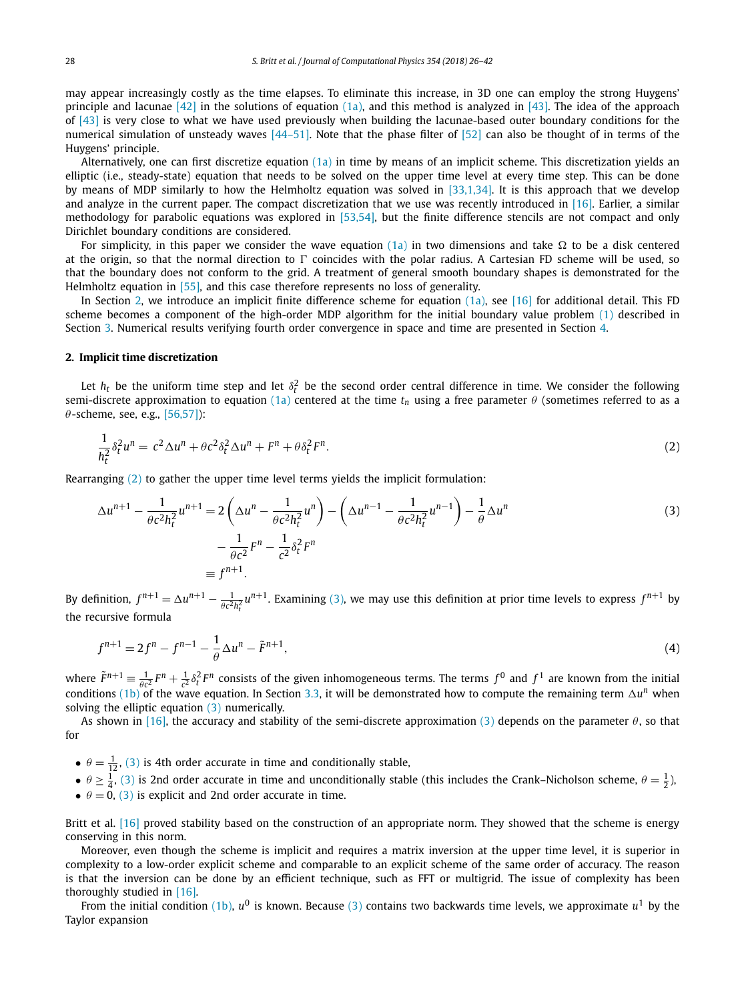<span id="page-2-0"></span>may appear increasingly costly as the time elapses. To eliminate this increase, in 3D one can employ the strong Huygens' principle and lacunae  $[42]$  in the solutions of equation  $(1a)$ , and this method is analyzed in  $[43]$ . The idea of the approach of [\[43\]](#page-16-0) is very close to what we have used previously when building the lacunae-based outer boundary conditions for the numerical simulation of unsteady waves [\[44–51\].](#page-16-0) Note that the phase filter of [\[52\]](#page-16-0) can also be thought of in terms of the Huygens' principle.

Alternatively, one can first discretize equation [\(1a\)](#page-0-0) in time by means of an implicit scheme. This discretization yields an elliptic (i.e., steady-state) equation that needs to be solved on the upper time level at every time step. This can be done by means of MDP similarly to how the Helmholtz equation was solved in [\[33,1,34\].](#page-15-0) It is this approach that we develop and analyze in the current paper. The compact discretization that we use was recently introduced in [\[16\].](#page-15-0) Earlier, a similar methodology for parabolic equations was explored in [\[53,54\],](#page-16-0) but the finite difference stencils are not compact and only Dirichlet boundary conditions are considered.

For simplicity, in this paper we consider the wave equation [\(1a\)](#page-0-0) in two dimensions and take  $\Omega$  to be a disk centered at the origin, so that the normal direction to  $\Gamma$  coincides with the polar radius. A Cartesian FD scheme will be used, so that the boundary does not conform to the grid. A treatment of general smooth boundary shapes is demonstrated for the Helmholtz equation in [\[55\],](#page-16-0) and this case therefore represents no loss of generality.

In Section 2, we introduce an implicit finite difference scheme for equation [\(1a\),](#page-0-0) see [\[16\]](#page-15-0) for additional detail. This FD scheme becomes a component of the high-order MDP algorithm for the initial boundary value problem [\(1\)](#page-0-0) described in Section [3.](#page-3-0) Numerical results verifying fourth order convergence in space and time are presented in Section [4.](#page-12-0)

#### **2. Implicit time discretization**

Let  $h_t$  be the uniform time step and let  $\delta_t^2$  be the second order central difference in time. We consider the following semi-discrete approximation to equation [\(1a\)](#page-0-0) centered at the time  $t_n$  using a free parameter  $\theta$  (sometimes referred to as a *θ* -scheme, see, e.g., [\[56,57\]\)](#page-16-0):

$$
\frac{1}{h_t^2} \delta_t^2 u^n = c^2 \Delta u^n + \theta c^2 \delta_t^2 \Delta u^n + F^n + \theta \delta_t^2 F^n.
$$
\n<sup>(2)</sup>

Rearranging (2) to gather the upper time level terms yields the implicit formulation:

$$
\Delta u^{n+1} - \frac{1}{\theta c^2 h_t^2} u^{n+1} = 2 \left( \Delta u^n - \frac{1}{\theta c^2 h_t^2} u^n \right) - \left( \Delta u^{n-1} - \frac{1}{\theta c^2 h_t^2} u^{n-1} \right) - \frac{1}{\theta} \Delta u^n
$$
  

$$
- \frac{1}{\theta c^2} F^n - \frac{1}{c^2} \delta_t^2 F^n
$$
  

$$
\equiv f^{n+1}.
$$
 (3)

By definition,  $f^{n+1} = \Delta u^{n+1} - \frac{1}{\theta c^2 h_t^2} u^{n+1}$ . Examining (3), we may use this definition at prior time levels to express  $f^{n+1}$  by the recursive formula

$$
f^{n+1} = 2f^n - f^{n-1} - \frac{1}{\theta} \Delta u^n - \tilde{F}^{n+1},
$$
\n(4)

where  $\tilde{F}^{n+1} = \frac{1}{\theta c^2} F^n + \frac{1}{c^2} \delta_t^2 F^n$  consists of the given inhomogeneous terms. The terms  $f^0$  and  $f^1$  are known from the initial conditions [\(1b\)](#page-0-0) of the wave equation. In Section [3.3,](#page-4-0) it will be demonstrated how to compute the remaining term  $\Delta u^n$  when solving the elliptic equation (3) numerically.

As shown in [\[16\],](#page-15-0) the accuracy and stability of the semi-discrete approximation (3) depends on the parameter *θ*, so that for

- $\theta = \frac{1}{12}$ , (3) is 4th order accurate in time and conditionally stable,
- $\theta \ge \frac{1}{4}$ , (3) is 2nd order accurate in time and unconditionally stable (this includes the Crank–Nicholson scheme,  $\theta = \frac{1}{2}$ ),
- $\theta = 0$ , (3) is explicit and 2nd order accurate in time.

Britt et al. [\[16\]](#page-15-0) proved stability based on the construction of an appropriate norm. They showed that the scheme is energy conserving in this norm.

Moreover, even though the scheme is implicit and requires a matrix inversion at the upper time level, it is superior in complexity to a low-order explicit scheme and comparable to an explicit scheme of the same order of accuracy. The reason is that the inversion can be done by an efficient technique, such as FFT or multigrid. The issue of complexity has been thoroughly studied in [\[16\].](#page-15-0)

From the initial condition [\(1b\),](#page-0-0)  $u^0$  is known. Because (3) contains two backwards time levels, we approximate  $u^1$  by the Taylor expansion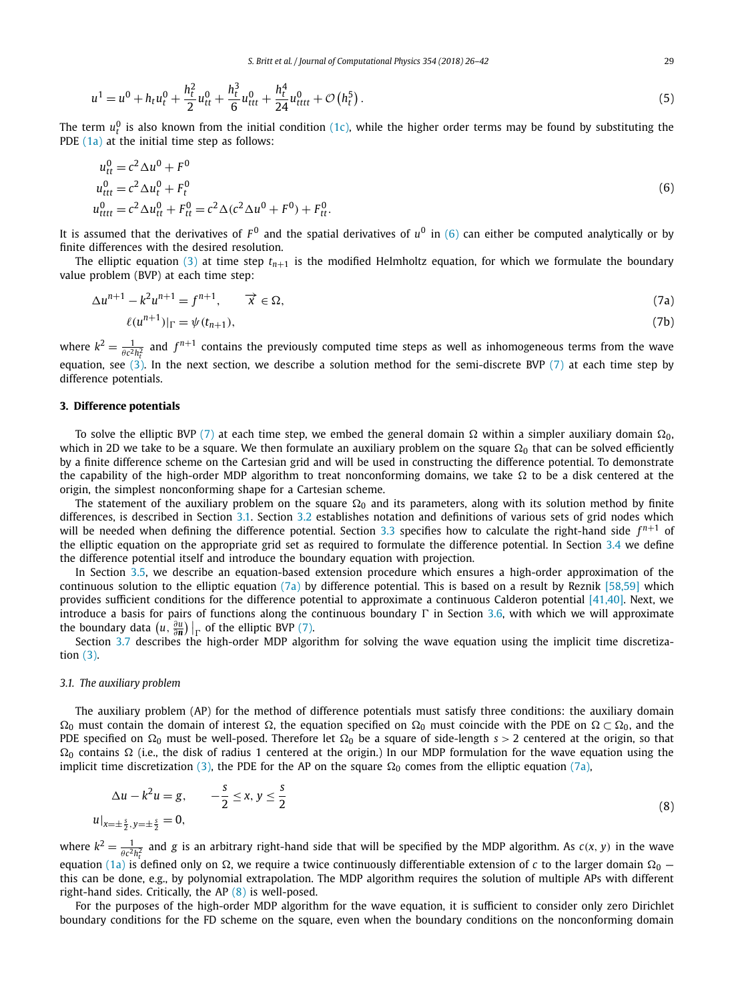<span id="page-3-0"></span>
$$
u^{1} = u^{0} + h_{t}u_{t}^{0} + \frac{h_{t}^{2}}{2}u_{tt}^{0} + \frac{h_{t}^{3}}{6}u_{ttt}^{0} + \frac{h_{t}^{4}}{24}u_{tttt}^{0} + \mathcal{O}\left(h_{t}^{5}\right).
$$
\n<sup>(5)</sup>

The term  $u_t^0$  is also known from the initial condition [\(1c\),](#page-0-0) while the higher order terms may be found by substituting the PDE [\(1a\)](#page-0-0) at the initial time step as follows:

$$
u_{tt}^{0} = c^{2} \Delta u^{0} + F^{0}
$$
  
\n
$$
u_{ttt}^{0} = c^{2} \Delta u_{t}^{0} + F_{t}^{0}
$$
  
\n
$$
u_{ttttt}^{0} = c^{2} \Delta u_{tt}^{0} + F_{tt}^{0} = c^{2} \Delta (c^{2} \Delta u^{0} + F^{0}) + F_{tt}^{0}.
$$
\n(6)

It is assumed that the derivatives of  $F^0$  and the spatial derivatives of  $u^0$  in (6) can either be computed analytically or by finite differences with the desired resolution.

The elliptic equation [\(3\)](#page-2-0) at time step  $t_{n+1}$  is the modified Helmholtz equation, for which we formulate the boundary value problem (BVP) at each time step:

$$
\Delta u^{n+1} - k^2 u^{n+1} = f^{n+1}, \qquad \overrightarrow{x} \in \Omega,
$$
\n(7a)

$$
\ell(u^{n+1})|_{\Gamma} = \psi(t_{n+1}),\tag{7b}
$$

where  $k^2 = \frac{1}{\theta c^2 h_t^2}$  and  $f^{n+1}$  contains the previously computed time steps as well as inhomogeneous terms from the wave equation, see [\(3\).](#page-2-0) In the next section, we describe a solution method for the semi-discrete BVP (7) at each time step by difference potentials.

#### **3. Difference potentials**

To solve the elliptic BVP (7) at each time step, we embed the general domain  $\Omega$  within a simpler auxiliary domain  $\Omega_0$ , which in 2D we take to be a square. We then formulate an auxiliary problem on the square  $\Omega_0$  that can be solved efficiently by a finite difference scheme on the Cartesian grid and will be used in constructing the difference potential. To demonstrate the capability of the high-order MDP algorithm to treat nonconforming domains, we take  $\Omega$  to be a disk centered at the origin, the simplest nonconforming shape for a Cartesian scheme.

The statement of the auxiliary problem on the square  $\Omega_0$  and its parameters, along with its solution method by finite differences, is described in Section 3.1. Section [3.2](#page-4-0) establishes notation and definitions of various sets of grid nodes which will be needed when defining the difference potential. Section [3.3](#page-4-0) specifies how to calculate the right-hand side  $f^{n+1}$  of the elliptic equation on the appropriate grid set as required to formulate the difference potential. In Section [3.4](#page-5-0) we define the difference potential itself and introduce the boundary equation with projection.

In Section [3.5,](#page-6-0) we describe an equation-based extension procedure which ensures a high-order approximation of the continuous solution to the elliptic equation  $(7a)$  by difference potential. This is based on a result by Reznik [\[58,59\]](#page-16-0) which provides sufficient conditions for the difference potential to approximate a continuous Calderon potential [\[41,40\].](#page-16-0) Next, we introduce a basis for pairs of functions along the continuous boundary  $\Gamma$  in Section [3.6,](#page-8-0) with which we will approximate the boundary data  $\left(u, \frac{\partial u}{\partial n}\right)\Big|_{\Gamma}$  of the elliptic BVP (7).

Boundary data  $(u, \frac{1}{\partial n})|_{\Gamma}$  of the emptic byr (7).<br>Section [3.7](#page-10-0) describes the high-order MDP algorithm for solving the wave equation using the implicit time discretization [\(3\).](#page-2-0)

#### *3.1. The auxiliary problem*

The auxiliary problem (AP) for the method of difference potentials must satisfy three conditions: the auxiliary domain  $\Omega_0$  must contain the domain of interest  $\Omega$ , the equation specified on  $\Omega_0$  must coincide with the PDE on  $\Omega \subset \Omega_0$ , and the PDE specified on  $\Omega_0$  must be well-posed. Therefore let  $\Omega_0$  be a square of side-length  $s > 2$  centered at the origin, so that  $\Omega_0$  contains  $\Omega$  (i.e., the disk of radius 1 centered at the origin.) In our MDP formulation for the wave equation using the implicit time discretization [\(3\),](#page-2-0) the PDE for the AP on the square  $\Omega_0$  comes from the elliptic equation (7a),

$$
\Delta u - k^2 u = g, \qquad -\frac{s}{2} \le x, y \le \frac{s}{2}
$$
  

$$
u|_{x=\pm \frac{s}{2}, y=\pm \frac{s}{2}} = 0,
$$
 (8)

where  $k^2 = \frac{1}{\theta c^2 h_t^2}$  and *g* is an arbitrary right-hand side that will be specified by the MDP algorithm. As  $c(x, y)$  in the wave equation [\(1a\)](#page-0-0) is defined only on  $\Omega$ , we require a twice continuously differentiable extension of *c* to the larger domain  $\Omega_0$  this can be done, e.g., by polynomial extrapolation. The MDP algorithm requires the solution of multiple APs with different right-hand sides. Critically, the AP (8) is well-posed.

For the purposes of the high-order MDP algorithm for the wave equation, it is sufficient to consider only zero Dirichlet boundary conditions for the FD scheme on the square, even when the boundary conditions on the nonconforming domain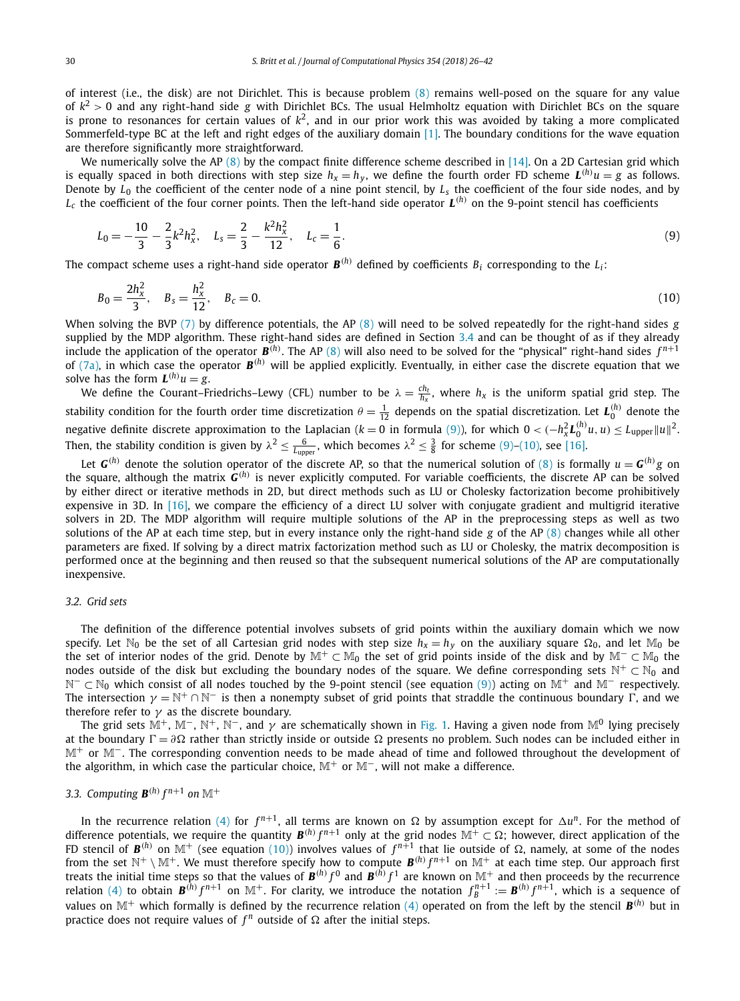<span id="page-4-0"></span>of interest (i.e., the disk) are not Dirichlet. This is because problem [\(8\)](#page-3-0) remains well-posed on the square for any value of *k*<sup>2</sup> *>* 0 and any right-hand side *g* with Dirichlet BCs. The usual Helmholtz equation with Dirichlet BCs on the square is prone to resonances for certain values of  $k^2$ , and in our prior work this was avoided by taking a more complicated Sommerfeld-type BC at the left and right edges of the auxiliary domain [\[1\].](#page-15-0) The boundary conditions for the wave equation are therefore significantly more straightforward.

We numerically solve the AP [\(8\)](#page-3-0) by the compact finite difference scheme described in [\[14\].](#page-15-0) On a 2D Cartesian grid which is equally spaced in both directions with step size  $h_x=h_y$ , we define the fourth order FD scheme  ${\bm L}^{(h)}u=g$  as follows. Denote by  $\hat{L}_0$  the coefficient of the center node of a nine point stencil, by  $L_s$  the coefficient of the four side nodes, and by  $L_c$  the coefficient of the four corner points. Then the left-hand side operator  $L^{(h)}$  on the 9-point stencil has coefficients

$$
L_0 = -\frac{10}{3} - \frac{2}{3}k^2 h_x^2, \quad L_s = \frac{2}{3} - \frac{k^2 h_x^2}{12}, \quad L_c = \frac{1}{6}.
$$
\n<sup>(9)</sup>

The compact scheme uses a right-hand side operator  $B^{(h)}$  defined by coefficients  $B_i$  corresponding to the  $L_i$ :

$$
B_0 = \frac{2h_x^2}{3}, \quad B_s = \frac{h_x^2}{12}, \quad B_c = 0.
$$
 (10)

When solving the BVP [\(7\)](#page-3-0) by difference potentials, the AP [\(8\)](#page-3-0) will need to be solved repeatedly for the right-hand sides *g* supplied by the MDP algorithm. These right-hand sides are defined in Section  $3.4$  and can be thought of as if they already include the application of the operator  $\mathbf{B}^{(h)}$ . The AP [\(8\)](#page-3-0) will also need to be solved for the "physical" right-hand sides  $f^{n+1}$ of [\(7a\),](#page-3-0) in which case the operator *B(h)* will be applied explicitly. Eventually, in either case the discrete equation that we solve has the form  $L^{(h)}u = g$ .

We define the Courant–Friedrichs–Lewy (CFL) number to be  $\lambda = \frac{ch_t}{h_x}$ , where  $h_x$  is the uniform spatial grid step. The stability condition for the fourth order time discretization  $\theta = \frac{1}{12}$  depends on the spatial discretization. Let  $L_0^{(h)}$  denote the negative definite discrete approximation to the Laplacian ( $k=0$  in formula (9)), for which  $0<(-h_x^2L_0^{(h)}u,u)\leq L_{\text{upper}}||u||^2$ . Then, the stability condition is given by  $\lambda^2 \leq \frac{6}{L_{\text{upper}}}$ , which becomes  $\lambda^2 \leq \frac{3}{8}$  for scheme (9)–(10), see [\[16\].](#page-15-0)

Let *G*<sup>(*h*</sup>) denote the solution operator of the discrete AP, so that the numerical solution of [\(8\)](#page-3-0) is formally  $u = G^{(h)}g$  on the square, although the matrix *G(h)* is never explicitly computed. For variable coefficients, the discrete AP can be solved by either direct or iterative methods in 2D, but direct methods such as LU or Cholesky factorization become prohibitively expensive in 3D. In  $[16]$ , we compare the efficiency of a direct LU solver with conjugate gradient and multigrid iterative solvers in 2D. The MDP algorithm will require multiple solutions of the AP in the preprocessing steps as well as two solutions of the AP at each time step, but in every instance only the right-hand side *g* of the AP [\(8\)](#page-3-0) changes while all other parameters are fixed. If solving by a direct matrix factorization method such as LU or Cholesky, the matrix decomposition is performed once at the beginning and then reused so that the subsequent numerical solutions of the AP are computationally inexpensive.

### *3.2. Grid sets*

The definition of the difference potential involves subsets of grid points within the auxiliary domain which we now specify. Let N<sub>0</sub> be the set of all Cartesian grid nodes with step size  $h_x = h_y$  on the auxiliary square  $\Omega_0$ , and let M<sub>0</sub> be the set of interior nodes of the grid. Denote by  $\mathbb{M}^+ \subset \mathbb{M}_0$  the set of grid points inside of the disk and by  $\mathbb{M}^- \subset \mathbb{M}_0$  the nodes outside of the disk but excluding the boundary nodes of the square. We define corresponding sets  $\mathbb{N}^+ \subset \mathbb{N}_0$  and  $N^-$  ⊂  $N_0$  which consist of all nodes touched by the 9-point stencil (see equation (9)) acting on  $M^+$  and  $M^-$  respectively. The intersection  $\gamma = \mathbb{N}^+ \cap \mathbb{N}^-$  is then a nonempty subset of grid points that straddle the continuous boundary  $\Gamma$ , and we therefore refer to  $\gamma$  as the discrete boundary.

The grid sets  $M^+$ ,  $M^-$ ,  $N^+$ ,  $N^-$ , and  $\gamma$  are schematically shown in [Fig. 1.](#page-5-0) Having a given node from  $M^0$  lying precisely at the boundary  $\Gamma = \partial \Omega$  rather than strictly inside or outside Ω presents no problem. Such nodes can be included either in M<sup>+</sup> or M−. The corresponding convention needs to be made ahead of time and followed throughout the development of the algorithm, in which case the particular choice,  $\mathbb{M}^+$  or  $\mathbb{M}^-$ , will not make a difference.

## *3.3. Computing*  $\mathbf{B}^{(h)} f^{n+1}$  *on*  $\mathbb{M}^+$

In the recurrence relation [\(4\)](#page-2-0) for  $f^{n+1}$ , all terms are known on  $\Omega$  by assumption except for  $\Delta u^n$ . For the method of difference potentials, we require the quantity  $B^{(h)} f^{n+1}$  only at the grid nodes  $\mathbb{M}^+ \subset \Omega$ ; however, direct application of the FD stencil of  $\mathbf{B}^{(h)}$  on  $\mathbb{M}^+$  (see equation (10)) involves values of  $f^{n+1}$  that lie outside of  $\Omega$ , namely, at some of the nodes from the set  $\mathbb{N}^+ \setminus \mathbb{M}^+$ . We must therefore specify how to compute  $\mathbf{B}^{(h)} f^{n+1}$  on  $\mathbb{M}^+$  at each time step. Our approach first treats the initial time steps so that the values of  $B^{(h)}f^0$  and  $B^{(h)}f^1$  are known on  $\mathbb{M}^+$  and then proceeds by the recurrence relation [\(4\)](#page-2-0) to obtain  $\bm{B}^{(\hat{h})}f^{n+1}$  on  $\mathbb{M}^+$ . For clarity, we introduce the notation  $f^{n+1}_B:=\bm{B}^{(h)}f^{n+1}$ , which is a sequence of values on  $\mathbb{M}^+$  which formally is defined by the recurrence relation [\(4\)](#page-2-0) operated on from the left by the stencil  $\mathbf{B}^{(h)}$  but in practice does not require values of  $f^n$  outside of  $\Omega$  after the initial steps.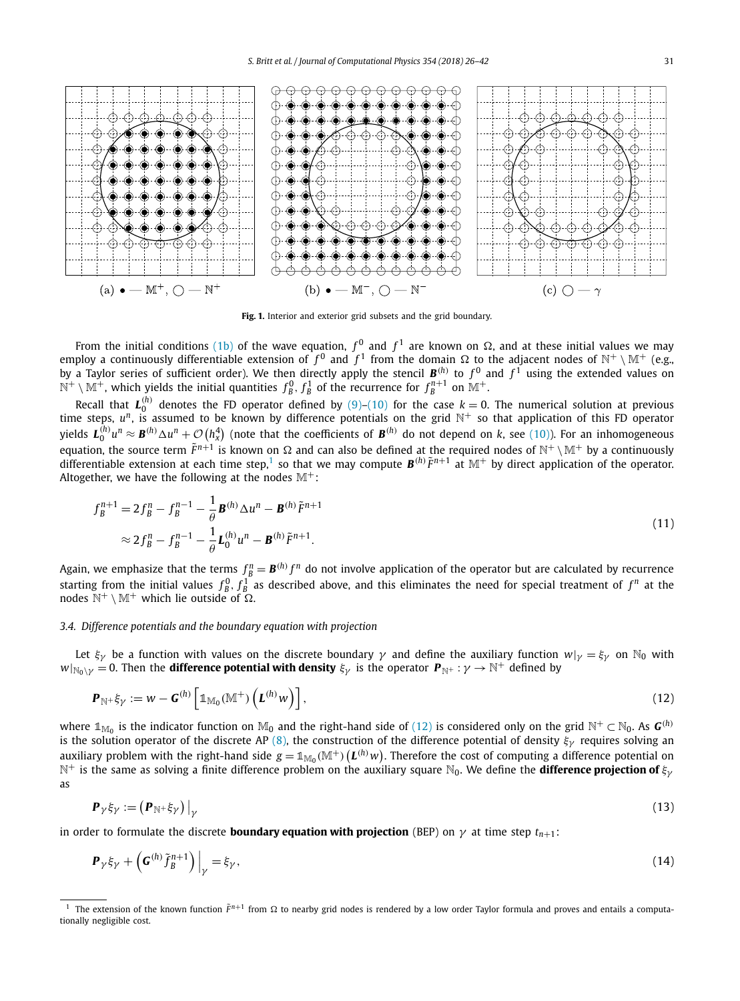<span id="page-5-0"></span>

**Fig. 1.** Interior and exterior grid subsets and the grid boundary.

From the initial conditions [\(1b\)](#page-0-0) of the wave equation,  $f^0$  and  $f^1$  are known on  $\Omega$ , and at these initial values we may employ a continuously differentiable extension of  $f^0$  and  $f^1$  from the domain  $\Omega$  to the adjacent nodes of  $\mathbb{N}^+ \setminus \mathbb{M}^+$  (e.g., by a Taylor series of sufficient order). We then directly apply the stencil  $\mathbf{B}^{(h)}$  to  $f^0$  and  $f^1$  using the extended values on by a Taylor series of sufficient order). We then directly apply the stencil  $\mathbf{B}^{$  $\mathbb{N}^+ \setminus \mathbb{M}^+$ , which yields the initial quantities  $f^0_B, f^1_B$  of the recurrence for  $f^{n+1}_B$  on  $\mathbb{M}^+$ .

Recall that  $L_0^{(h)}$  denotes the FD operator defined by [\(9\)–\(10\)](#page-4-0) for the case  $k=0$ . The numerical solution at previous time steps,  $u^n$ , is assumed to be known by difference potentials on the grid  $N^+$  so that application of this FD operator yields  $\bm{L}_0^{(h)}u^n\approx\bm{B}^{(h)}\Delta u^n+\mathcal{O}\left(h_\chi^4\right)$  (note that the coefficients of  $\bm{B}^{(h)}$  do not depend on k, see [\(10\)\)](#page-4-0). For an inhomogeneous equation, the source term  $\tilde{F}^{n+1}$  is known on  $\Omega$  and can also be defined at the required nodes of  $\mathbb{N}^+ \setminus \mathbb{M}^+$  by a continuously differentiable extension at each time step,<sup>1</sup> so that we may compute  $\mathbf{B}^{(h)}\tilde{F}^{n+1}$  at  $\mathbb{M}^+$  by direct application of the operator. Altogether, we have the following at the nodes  $M^+$ :

$$
f_B^{n+1} = 2f_B^n - f_B^{n-1} - \frac{1}{\theta} \mathbf{B}^{(h)} \Delta u^n - \mathbf{B}^{(h)} \tilde{F}^{n+1}
$$
  

$$
\approx 2f_B^n - f_B^{n-1} - \frac{1}{\theta} \mathbf{L}_0^{(h)} u^n - \mathbf{B}^{(h)} \tilde{F}^{n+1}.
$$
 (11)

Again, we emphasize that the terms  $f_B^n = \bm{B}^{(h)} f^n$  do not involve application of the operator but are calculated by recurrence starting from the initial values  $f^0_B$ ,  $f^1_B$  as described above, and this eliminates the need for special treatment of  $f^n$  at the nodes  $\mathbb{N}^+ \setminus \mathbb{M}^+$  which lie outside of  $\Omega$ .

#### *3.4. Difference potentials and the boundary equation with projection*

Let  $\xi_\gamma$  be a function with values on the discrete boundary  $\gamma$  and define the auxiliary function  $w|_\gamma = \xi_\gamma$  on  $\mathbb{N}_0$  with  $W|_{N_0\setminus\gamma} = 0$ . Then the **difference potential with density**  $\xi_{\gamma}$  is the operator  $P_{\mathbb{N}^+} : \gamma \to \mathbb{N}^+$  defined by

$$
\boldsymbol{P}_{\mathbb{N}^+} \dot{\boldsymbol{\xi}}_{\gamma} := \boldsymbol{w} - \boldsymbol{G}^{(h)} \left[ \mathbb{1}_{\mathbb{M}_0} (\mathbb{M}^+) \left( \boldsymbol{L}^{(h)} \boldsymbol{w} \right) \right], \tag{12}
$$

where  $\mathbb{1}_{\mathbb{M}_0}$  is the indicator function on  $\mathbb{M}_0$  and the right-hand side of (12) is considered only on the grid  $\mathbb{N}^+ \subset \mathbb{N}_0$ . As  $\mathbf{G}^{(h)}$ is the solution operator of the discrete AP [\(8\),](#page-3-0) the construction of the difference potential of density *ξγ* requires solving an auxiliary problem with the right-hand side  $g=\mathbb{1}_{\mathbb{M}_0}(\mathbb{M}^+)\big(\bm{L}^{(h)}w\big).$  Therefore the cost of computing a difference potential on N<sup>+</sup> is the same as solving <sup>a</sup> finite difference problem on the auxiliary square N0. We define the **difference projection of** *ξγ* as

$$
\boldsymbol{P}_{\gamma}\xi_{\gamma} := \left(\boldsymbol{P}_{\mathbb{N}^+}\xi_{\gamma}\right)\big|_{\gamma}
$$
\n(13)

in order to formulate the discrete **boundary equation with projection** (BEP) on  $\gamma$  at time step  $t_{n+1}$ :

$$
\mathbf{P}_{\gamma}\xi_{\gamma} + \left(\mathbf{G}^{(h)}\tilde{f}_{B}^{n+1}\right)\Big|_{\gamma} = \xi_{\gamma},\tag{14}
$$

The extension of the known function  $\tilde{F}^{n+1}$  from  $\Omega$  to nearby grid nodes is rendered by a low order Taylor formula and proves and entails a computationally negligible cost.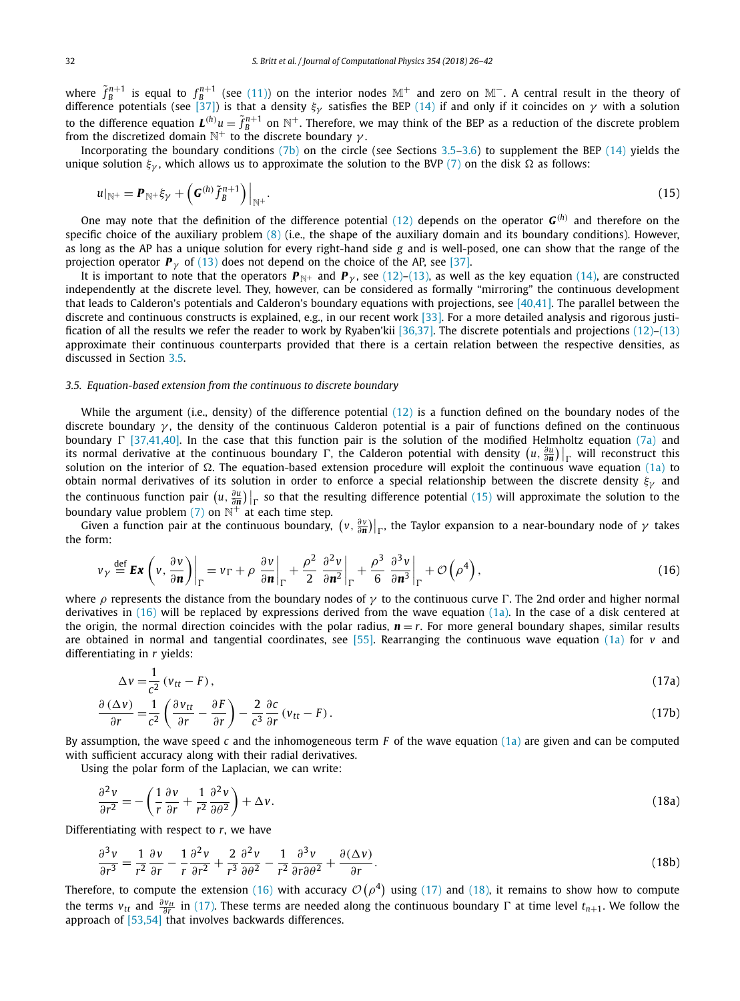<span id="page-6-0"></span>where  $\tilde{f}_B^{n+1}$  is equal to  $f_B^{n+1}$  (see [\(11\)\)](#page-5-0) on the interior nodes  $\mathbb{M}^+$  and zero on  $\mathbb{M}^-$ . A central result in the theory of difference potentials (see [\[37\]\)](#page-15-0) is that a density *ξγ* satisfies the BEP [\(14\)](#page-5-0) if and only if it coincides on *γ* with a solution to the difference equation  $L^{(h)}u = \tilde{f}_B^{n+1}$  on  $\mathbb{N}^+$ . Therefore, we may think of the BEP as a reduction of the discrete problem from the discretized domain  $\mathbb{N}^+$  to the discrete boundary  $\gamma$ .

Incorporating the boundary conditions [\(7b\)](#page-3-0) on the circle (see Sections 3.5[–3.6\)](#page-8-0) to supplement the BEP [\(14\)](#page-5-0) yields the unique solution  $\xi_{\gamma}$ , which allows us to approximate the solution to the BVP [\(7\)](#page-3-0) on the disk  $\Omega$  as follows:

$$
u|_{\mathbb{N}^+} = \boldsymbol{P}_{\mathbb{N}^+} \xi_{\gamma} + \left( \boldsymbol{G}^{(h)} \tilde{f}_{B}^{n+1} \right) \Big|_{\mathbb{N}^+}.
$$
\n(15)

One may note that the definition of the difference potential [\(12\)](#page-5-0) depends on the operator  $G^{(h)}$  and therefore on the specific choice of the auxiliary problem [\(8\)](#page-3-0) (i.e., the shape of the auxiliary domain and its boundary conditions). However, as long as the AP has a unique solution for every right-hand side *g* and is well-posed, one can show that the range of the projection operator  $P_\gamma$  of [\(13\)](#page-5-0) does not depend on the choice of the AP, see [\[37\].](#page-15-0)

It is important to note that the operators  $P_{\mathbb{N}^+}$  and  $P_{\gamma}$ , see [\(12\)–\(13\),](#page-5-0) as well as the key equation [\(14\),](#page-5-0) are constructed independently at the discrete level. They, however, can be considered as formally "mirroring" the continuous development that leads to Calderon's potentials and Calderon's boundary equations with projections, see [\[40,41\].](#page-16-0) The parallel between the discrete and continuous constructs is explained, e.g., in our recent work [\[33\].](#page-15-0) For a more detailed analysis and rigorous justification of all the results we refer the reader to work by Ryaben'kii [\[36,37\].](#page-15-0) The discrete potentials and projections [\(12\)–\(13\)](#page-5-0) approximate their continuous counterparts provided that there is a certain relation between the respective densities, as discussed in Section 3.5.

#### *3.5. Equation-based extension from the continuous to discrete boundary*

While the argument (i.e., density) of the difference potential  $(12)$  is a function defined on the boundary nodes of the discrete boundary *γ* , the density of the continuous Calderon potential is a pair of functions defined on the continuous boundary  $\Gamma$  [\[37,41,40\].](#page-15-0) In the case that this function pair is the solution of the modified Helmholtz equation [\(7a\)](#page-3-0) and its normal derivative at the continuous boundary  $\Gamma$ , the Calderon potential with density  $(u, \frac{\partial u}{\partial n})\big|_{\Gamma}$  will reconstruct this selection are the interior of  $\Omega$ . The exercise head sutposing are equality the exerc solution on the interior of  $\Omega$ . The equation-based extension procedure will exploit the continuous wave equation [\(1a\)](#page-0-0) to obtain normal derivatives of its solution in order to enforce a special relationship between the discrete density *ξγ* and the continuous function pair  $(u, \frac{\partial u}{\partial n})\big|_{\Gamma}$  so that the resulting difference potential (15) will approximate the solution to the boundary value problem  $(7)$  on  $\mathbb{N}^+$  at each time step.

Given a function pair at the continuous boundary,  $(v, \frac{\partial v}{\partial n})|_{\Gamma}$ , the Taylor expansion to a near-boundary node of  $\gamma$  takes the form:

$$
\nu_{\gamma} \stackrel{\text{def}}{=} \mathbf{Ex} \left( v, \frac{\partial v}{\partial \mathbf{n}} \right) \bigg|_{\Gamma} = v_{\Gamma} + \rho \left. \frac{\partial v}{\partial \mathbf{n}} \right|_{\Gamma} + \frac{\rho^2}{2} \left. \frac{\partial^2 v}{\partial \mathbf{n}^2} \right|_{\Gamma} + \frac{\rho^3}{6} \left. \frac{\partial^3 v}{\partial \mathbf{n}^3} \right|_{\Gamma} + \mathcal{O} \left( \rho^4 \right), \tag{16}
$$

where  $\rho$  represents the distance from the boundary nodes of  $\gamma$  to the continuous curve  $\Gamma$ . The 2nd order and higher normal derivatives in (16) will be replaced by expressions derived from the wave equation [\(1a\).](#page-0-0) In the case of a disk centered at the origin, the normal direction coincides with the polar radius,  $n = r$ . For more general boundary shapes, similar results are obtained in normal and tangential coordinates, see [\[55\].](#page-16-0) Rearranging the continuous wave equation [\(1a\)](#page-0-0) for *v* and differentiating in *r* yields:

$$
\Delta v = \frac{1}{c^2} \left( v_{tt} - F \right),\tag{17a}
$$

$$
\frac{\partial (\Delta v)}{\partial r} = \frac{1}{c^2} \left( \frac{\partial v_{tt}}{\partial r} - \frac{\partial F}{\partial r} \right) - \frac{2}{c^3} \frac{\partial c}{\partial r} (v_{tt} - F).
$$
\n(17b)

By assumption, the wave speed *c* and the inhomogeneous term *F* of the wave equation [\(1a\)](#page-0-0) are given and can be computed with sufficient accuracy along with their radial derivatives.

Using the polar form of the Laplacian, we can write:

$$
\frac{\partial^2 v}{\partial r^2} = -\left(\frac{1}{r}\frac{\partial v}{\partial r} + \frac{1}{r^2}\frac{\partial^2 v}{\partial \theta^2}\right) + \Delta v.
$$
\n(18a)

Differentiating with respect to *r*, we have

$$
\frac{\partial^3 v}{\partial r^3} = \frac{1}{r^2} \frac{\partial v}{\partial r} - \frac{1}{r} \frac{\partial^2 v}{\partial r^2} + \frac{2}{r^3} \frac{\partial^2 v}{\partial \theta^2} - \frac{1}{r^2} \frac{\partial^3 v}{\partial r \partial \theta^2} + \frac{\partial (\Delta v)}{\partial r}.
$$
(18b)

Therefore, to compute the extension (16) with accuracy  $\mathcal{O}(\rho^4)$  using (17) and (18), it remains to show how to compute the terms  $v_{tt}$  and  $\frac{\partial v_{tt}}{\partial r}$  in (17). These terms are needed along the continuous boundary  $\Gamma$  at time level  $t_{n+1}$ . We follow the approach of  $[53,54]$  that involves backwards differences.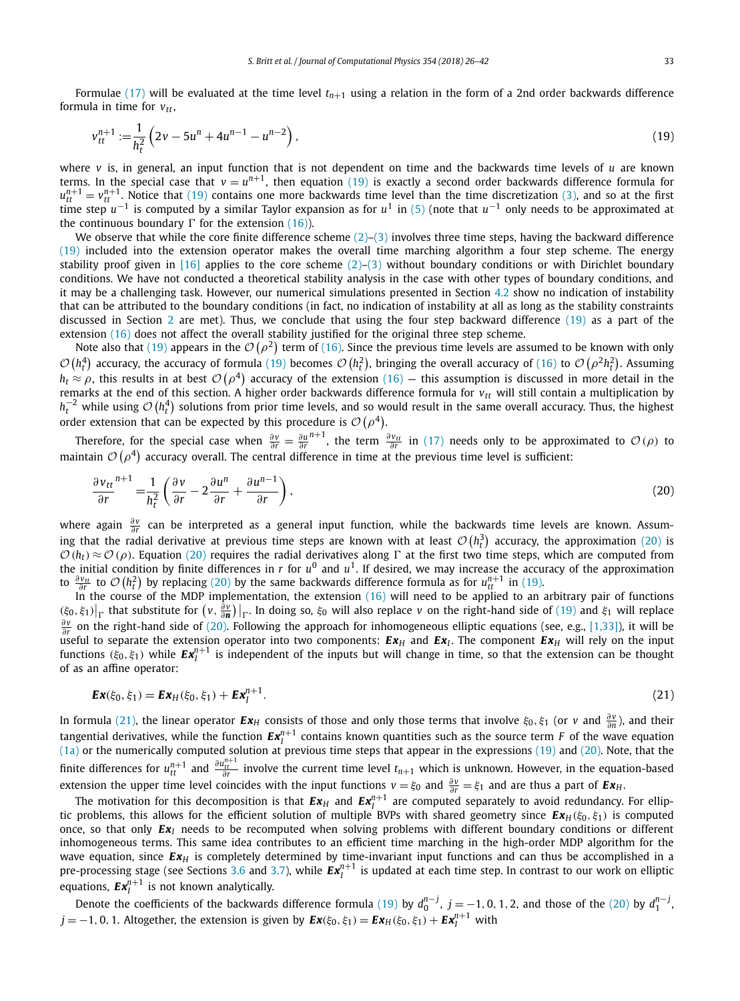<span id="page-7-0"></span>Formulae [\(17\)](#page-6-0) will be evaluated at the time level  $t_{n+1}$  using a relation in the form of a 2nd order backwards difference formula in time for  $v_{tt}$ ,

$$
v_{tt}^{n+1} := \frac{1}{h_t^2} \left( 2v - 5u^n + 4u^{n-1} - u^{n-2} \right),\tag{19}
$$

where *v* is, in general, an input function that is not dependent on time and the backwards time levels of *u* are known terms. In the special case that  $v = u^{n+1}$ , then equation (19) is exactly a second order backwards difference formula for  $u^{n+1}_{tt} = v^{n+1}_{tt}$ . Notice that (19) contains one more backwards time level than the time discretization [\(3\),](#page-2-0) and so at the first time step *u*−<sup>1</sup> is computed by a similar Taylor expansion as for *u*<sup>1</sup> in [\(5\)](#page-3-0) (note that *u*−<sup>1</sup> only needs to be approximated at the continuous boundary  $\Gamma$  for the extension [\(16\)\)](#page-6-0).

We observe that while the core finite difference scheme  $(2)-(3)$  involves three time steps, having the backward difference (19) included into the extension operator makes the overall time marching algorithm a four step scheme. The energy stability proof given in [\[16\]](#page-15-0) applies to the core scheme  $(2)-(3)$  without boundary conditions or with Dirichlet boundary conditions. We have not conducted a theoretical stability analysis in the case with other types of boundary conditions, and it may be a challenging task. However, our numerical simulations presented in Section [4.2](#page-12-0) show no indication of instability that can be attributed to the boundary conditions (in fact, no indication of instability at all as long as the stability constraints discussed in Section [2](#page-2-0) are met). Thus, we conclude that using the four step backward difference (19) as a part of the extension [\(16\)](#page-6-0) does not affect the overall stability justified for the original three step scheme.

Note also that (19) appears in the  $\mathcal{O}(\rho^2)$  term of [\(16\).](#page-6-0) Since the previous time levels are assumed to be known with only  $\mathcal{O}\left(h_t^4\right)$  accuracy, the accuracy of formula (19) becomes  $\mathcal{O}\left(h_t^2\right)$ , bringing the overall accuracy of [\(16\)](#page-6-0) to  $\mathcal{O}\left(\rho^2h_t^2\right)$ . Assuming  $h_t \approx \rho$ , this results in at best  $\mathcal{O}(\rho^4)$  accuracy of the extension [\(16\)](#page-6-0) — this assumption is discussed in more detail in the remarks at the end of this section. A higher order backwards difference formula for  $v_{tt}$  will still contain a multiplication by  $h_t^{-2}$  while using  $\mathcal{O}(h_t^4)$  solutions from prior time levels, and so would result in the same overall accuracy. Thus, the highest order extension that can be expected by this procedure is  $\mathcal{O}(\rho^4)$ .

Therefore, for the special case when  $\frac{\partial v}{\partial r} = \frac{\partial u}{\partial r}$  $n+1$ , the term  $\frac{\partial v_{tt}}{\partial r}$  in [\(17\)](#page-6-0) needs only to be approximated to  $\mathcal{O}(\rho)$  to maintain  $\mathcal{O}\left(\rho^4\right)$  accuracy overall. The central difference in time at the previous time level is sufficient:

$$
\frac{\partial v_{tt}}{\partial r}^{n+1} = \frac{1}{h_t^2} \left( \frac{\partial v}{\partial r} - 2 \frac{\partial u^n}{\partial r} + \frac{\partial u^{n-1}}{\partial r} \right),\tag{20}
$$

where again  $\frac{\partial v}{\partial r}$  can be interpreted as a general input function, while the backwards time levels are known. Assuming that the radial derivative at previous time steps are known with at least  $\mathcal{O}(h_t^3)$  accuracy, the approximation (20) is  $\mathcal{O}(h_t) \approx \mathcal{O}(\rho)$ . Equation (20) requires the radial derivatives along  $\Gamma$  at the first two time steps, which are computed from the initial condition by finite differences in *r* for  $u^0$  and  $u^1$ . If desired, we may increase the accuracy of the approximation to  $\frac{\partial v_{tt}}{\partial r}$  to  $\mathcal{O}(h_t^2)$  by replacing (20) by the same backwards difference formula as for  $u_{tt}^{n+1}$  in (19).

In the course of the MDP implementation, the extension  $(16)$  will need to be applied to an arbitrary pair of functions  $(\xi_0, \xi_1)\big|_{\Gamma}$  that substitute for  $(v, \frac{\partial v}{\partial n})\big|_{\Gamma}$ . In doing so,  $\xi_0$  will also replace v on the right-hand side of (19) and  $\xi_1$  will replace *∂*<sup>*r*</sup></sup> on the right-hand side of (20). Following the approach for inhomogeneous elliptic equations (see, e.g., [\[1,33\]\)](#page-15-0), it will be useful to separate the extension operator into two components:  $E x_H$  and  $E x_I$ . The component  $E x_H$  will rely on the input functions  $(\xi_0, \xi_1)$  while  $Ex_l^{n+1}$  is independent of the inputs but will change in time, so that the extension can be thought of as an affine operator:

$$
Ex(\xi_0, \xi_1) = Ex_H(\xi_0, \xi_1) + Ex_I^{n+1}.
$$
\n(21)

In formula (21), the linear operator  $Ex_H$  consists of those and only those terms that involve  $\xi_0, \xi_1$  (or *v* and  $\frac{\partial v}{\partial n}$ ), and their tangential derivatives, while the function  $\bm{Ex}_I^{n+1}$  contains known quantities such as the source term F of the wave equation [\(1a\)](#page-0-0) or the numerically computed solution at previous time steps that appear in the expressions (19) and (20). Note, that the finite differences for  $u^{n+1}_{tt}$  and  $\frac{\partial u^{n+1}_{tt}}{\partial r}$  involve the current time level  $t_{n+1}$  which is unknown. However, in the equation-based extension the upper time level coincides with the input functions  $v = \xi_0$  and  $\frac{\partial v}{\partial r} = \xi_1$  and are thus a part of  $Ex_H$ .

The motivation for this decomposition is that  $\bm{E}\bm{x}_H$  and  $\bm{E}\bm{x}_I^{n+1}$  are computed separately to avoid redundancy. For elliptic problems, this allows for the efficient solution of multiple BVPs with shared geometry since  $E x_H(\xi_0, \xi_1)$  is computed once, so that only *Ex<sup>I</sup>* needs to be recomputed when solving problems with different boundary conditions or different inhomogeneous terms. This same idea contributes to an efficient time marching in the high-order MDP algorithm for the wave equation, since  $E x$ <sup>H</sup> is completely determined by time-invariant input functions and can thus be accomplished in a pre-processing stage (see Sections [3.6](#page-8-0) and [3.7\)](#page-10-0), while  $Ex_l^{n+1}$  is updated at each time step. In contrast to our work on elliptic equations,  $\bm{E}\bm{x}^{n+1}_{I}$  is not known analytically.

Denote the coefficients of the backwards difference formula (19) by  $d_0^{n-j}$ ,  $j=-1,0,1,2$ , and those of the (20) by  $d_1^{n-j}$ ,  $j = -1, 0, 1$ . Altogether, the extension is given by  $\mathbf{Ex}(\xi_0, \xi_1) = \mathbf{Ex}_H(\xi_0, \xi_1) + \mathbf{Ex}_I^{n+1}$  with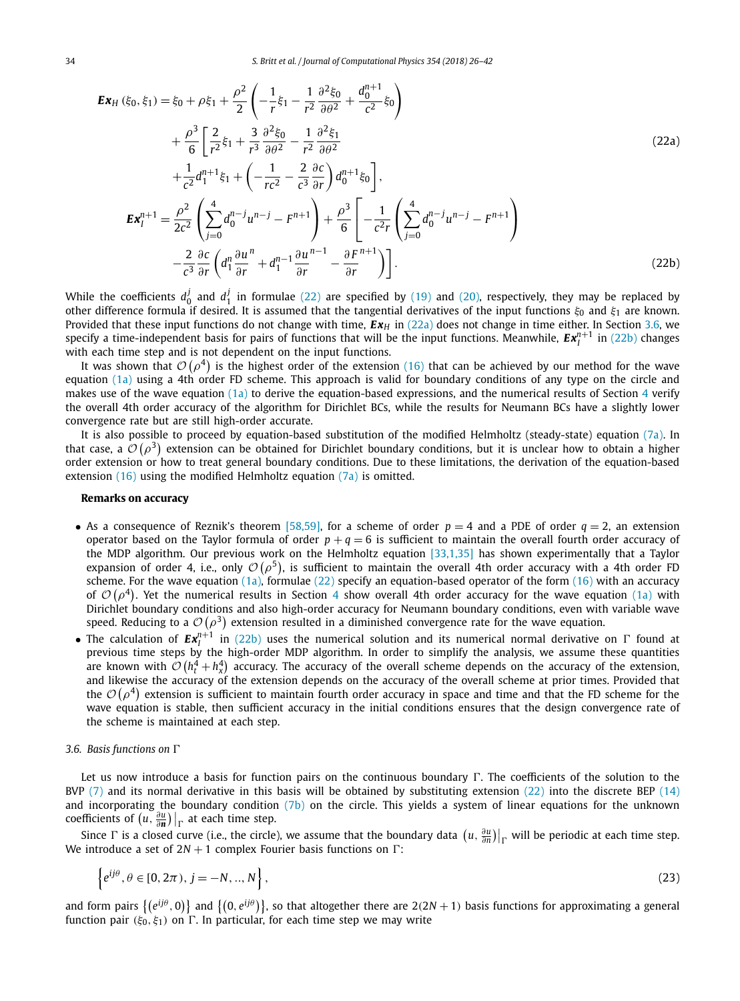<span id="page-8-0"></span>
$$
\mathbf{E} \mathbf{x}_{H} (\xi_{0}, \xi_{1}) = \xi_{0} + \rho \xi_{1} + \frac{\rho^{2}}{2} \left( -\frac{1}{r} \xi_{1} - \frac{1}{r^{2}} \frac{\partial^{2} \xi_{0}}{\partial \theta^{2}} + \frac{d_{0}^{n+1}}{c^{2}} \xi_{0} \right) \n+ \frac{\rho^{3}}{6} \left[ \frac{2}{r^{2}} \xi_{1} + \frac{3}{r^{3}} \frac{\partial^{2} \xi_{0}}{\partial \theta^{2}} - \frac{1}{r^{2}} \frac{\partial^{2} \xi_{1}}{\partial \theta^{2}} \right] \n+ \frac{1}{c^{2}} d_{1}^{n+1} \xi_{1} + \left( -\frac{1}{r c^{2}} - \frac{2}{c^{3}} \frac{\partial c}{\partial r} \right) d_{0}^{n+1} \xi_{0} \right], \n\mathbf{E} \mathbf{x}_{I}^{n+1} = \frac{\rho^{2}}{2c^{2}} \left( \sum_{j=0}^{4} d_{0}^{n-j} u^{n-j} - F^{n+1} \right) + \frac{\rho^{3}}{6} \left[ -\frac{1}{c^{2} r} \left( \sum_{j=0}^{4} d_{0}^{n-j} u^{n-j} - F^{n+1} \right) \right. \n- \frac{2}{c^{3}} \frac{\partial c}{\partial r} \left( d_{1}^{n} \frac{\partial u}{\partial r}^{n} + d_{1}^{n-1} \frac{\partial u}{\partial r}^{n-1} - \frac{\partial F^{n+1}}{\partial r} \right) \right].
$$
\n(22b)

While the coefficients  $d_0^j$  and  $d_1^j$  in formulae [\(22\)](#page-7-0) are specified by [\(19\)](#page-7-0) and [\(20\),](#page-7-0) respectively, they may be replaced by other difference formula if desired. It is assumed that the tangential derivatives of the input functions *ξ*<sup>0</sup> and *ξ*<sup>1</sup> are known. Provided that these input functions do not change with time,  $Ex_H$  in (22a) does not change in time either. In Section 3.6, we specify a time-independent basis for pairs of functions that will be the input functions. Meanwhile,  $Ex_l^{n+1}$  in (22b) changes with each time step and is not dependent on the input functions.

It was shown that  $\mathcal{O}(\rho^4)$  is the highest order of the extension [\(16\)](#page-6-0) that can be achieved by our method for the wave equation [\(1a\)](#page-0-0) using a 4th order FD scheme. This approach is valid for boundary conditions of any type on the circle and makes use of the wave equation  $(1a)$  to derive the equation-based expressions, and the numerical results of Section [4](#page-12-0) verify the overall 4th order accuracy of the algorithm for Dirichlet BCs, while the results for Neumann BCs have a slightly lower convergence rate but are still high-order accurate.

It is also possible to proceed by equation-based substitution of the modified Helmholtz (steady-state) equation [\(7a\).](#page-3-0) In that case, a  $\mathcal{O}(\rho^3)$  extension can be obtained for Dirichlet boundary conditions, but it is unclear how to obtain a higher order extension or how to treat general boundary conditions. Due to these limitations, the derivation of the equation-based extension  $(16)$  using the modified Helmholtz equation  $(7a)$  is omitted.

#### **Remarks on accuracy**

- As a consequence of Reznik's theorem [\[58,59\],](#page-16-0) for a scheme of order  $p = 4$  and a PDE of order  $q = 2$ , an extension operator based on the Taylor formula of order  $p + q = 6$  is sufficient to maintain the overall fourth order accuracy of the MDP algorithm. Our previous work on the Helmholtz equation [\[33,1,35\]](#page-15-0) has shown experimentally that a Taylor expansion of order 4, i.e., only  $\mathcal{O}(\rho^5)$ , is sufficient to maintain the overall 4th order accuracy with a 4th order FD scheme. For the wave equation  $(1a)$ , formulae  $(22)$  specify an equation-based operator of the form  $(16)$  with an accuracy of  $\mathcal{O}(\rho^4)$  $\mathcal{O}(\rho^4)$  $\mathcal{O}(\rho^4)$ . Yet the numerical results in Section 4 show overall 4th order accuracy for the wave equation [\(1a\)](#page-0-0) with Dirichlet boundary conditions and also high-order accuracy for Neumann boundary conditions, even with variable wave speed. Reducing to a  $\mathcal{O}\big(\rho^3\big)$  extension resulted in a diminished convergence rate for the wave equation.
- The calculation of  $Ex_l^{n+1}$  in (22b) uses the numerical solution and its numerical normal derivative on  $\Gamma$  found at previous time steps by the high-order MDP algorithm. In order to simplify the analysis, we assume these quantities are known with  $\mathcal{O}(h_t^4 + h_x^4)$  accuracy. The accuracy of the overall scheme depends on the accuracy of the extension, and likewise the accuracy of the extension depends on the accuracy of the overall scheme at prior times. Provided that the  $\mathcal{O}(\rho^4)$  extension is sufficient to maintain fourth order accuracy in space and time and that the FD scheme for the wave equation is stable, then sufficient accuracy in the initial conditions ensures that the design convergence rate of the scheme is maintained at each step.

#### *3.6. Basis functions on*

Let us now introduce a basis for function pairs on the continuous boundary  $\Gamma$ . The coefficients of the solution to the BVP  $(7)$  and its normal derivative in this basis will be obtained by substituting extension  $(22)$  into the discrete BEP  $(14)$ and incorporating the boundary condition [\(7b\)](#page-3-0) on the circle. This yields a system of linear equations for the unknown coefficients of  $(u, \frac{\partial u}{\partial n})\big|_{\Gamma}$  at each time step.

Since  $\Gamma$  is a closed curve (i.e., the circle), we assume that the boundary data  $(u, \frac{\partial u}{\partial n})|_{\Gamma}$  will be periodic at each time step. We introduce a set of  $2N + 1$  complex Fourier basis functions on  $\Gamma$ :

$$
\left\{ e^{ij\theta}, \theta \in [0, 2\pi), j = -N, ..., N \right\},\tag{23}
$$

and form pairs  $\{(e^{ij\theta}, 0)\}$  and  $\{(0, e^{ij\theta})\}$ , so that altogether there are  $2(2N + 1)$  basis functions for approximating a general function pair  $(\xi_0, \xi_1)$  on  $\Gamma$ . In particular, for each time step we may write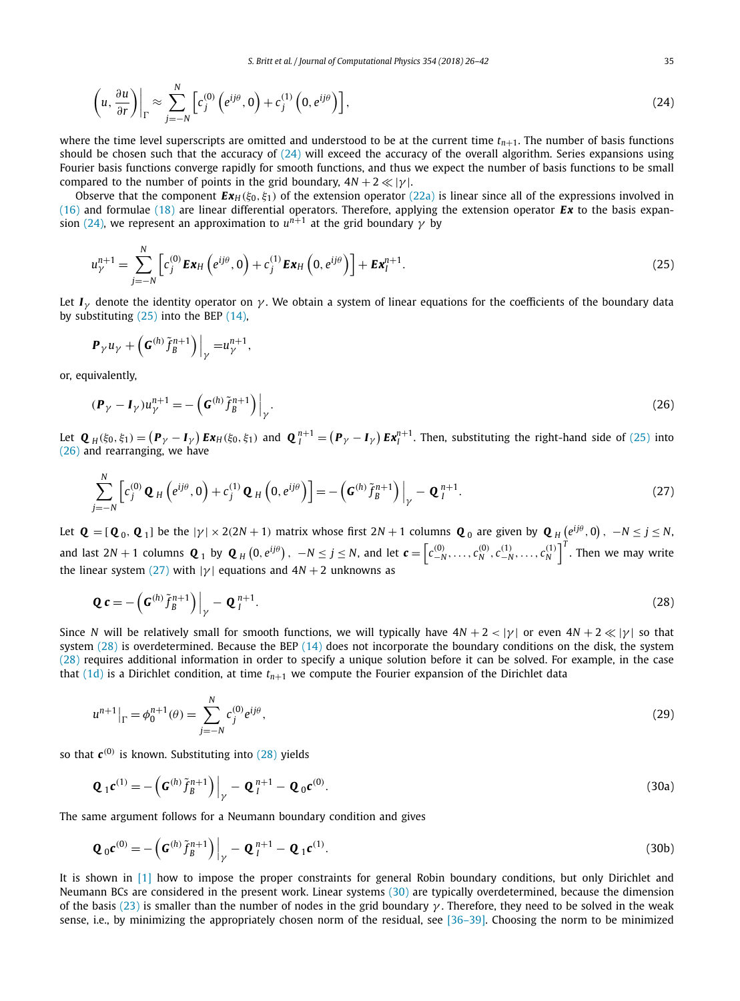<span id="page-9-0"></span>
$$
\left(u, \frac{\partial u}{\partial r}\right)\Big|_{\Gamma} \approx \sum_{j=-N}^{N} \left[c_j^{(0)}\left(e^{ij\theta}, 0\right) + c_j^{(1)}\left(0, e^{ij\theta}\right)\right],\tag{24}
$$

where the time level superscripts are omitted and understood to be at the current time  $t_{n+1}$ . The number of basis functions should be chosen such that the accuracy of  $(24)$  will exceed the accuracy of the overall algorithm. Series expansions using Fourier basis functions converge rapidly for smooth functions, and thus we expect the number of basis functions to be small compared to the number of points in the grid boundary,  $4N + 2 \ll |\gamma|$ .

Observe that the component  $\mathbf{E} \mathbf{x}_H(\xi_0, \xi_1)$  of the extension operator [\(22a\)](#page-8-0) is linear since all of the expressions involved in [\(16\)](#page-6-0) and formulae [\(18\)](#page-6-0) are linear differential operators. Therefore, applying the extension operator *Ex* to the basis expansion (24), we represent an approximation to  $u^{n+1}$  at the grid boundary  $\gamma$  by

$$
u_{\gamma}^{n+1} = \sum_{j=-N}^{N} \left[ c_j^{(0)} \mathbf{E} \mathbf{x}_H \left( e^{ij\theta}, 0 \right) + c_j^{(1)} \mathbf{E} \mathbf{x}_H \left( 0, e^{ij\theta} \right) \right] + \mathbf{E} \mathbf{x}_I^{n+1}.
$$
 (25)

Let  $I_y$  denote the identity operator on  $\gamma$ . We obtain a system of linear equations for the coefficients of the boundary data by substituting  $(25)$  into the BEP  $(14)$ ,

$$
\boldsymbol{P}_{\gamma}u_{\gamma}+\left(\boldsymbol{G}^{(h)}\tilde{f}_{B}^{n+1}\right)\Big|_{\gamma}=u_{\gamma}^{n+1},
$$

or, equivalently,

$$
(\mathbf{P}_{\gamma} - \mathbf{I}_{\gamma})u_{\gamma}^{n+1} = -\left(\mathbf{G}^{(h)}\tilde{f}_{B}^{n+1}\right)\Big|_{\gamma}.
$$
\n(26)

Let  $\mathbf{Q}_H(\xi_0,\xi_1) = (\mathbf{P}_\gamma - \mathbf{I}_\gamma) \mathbf{E} \mathbf{x}_H(\xi_0,\xi_1)$  and  $\mathbf{Q}_I^{n+1} = (\mathbf{P}_\gamma - \mathbf{I}_\gamma) \mathbf{E} \mathbf{x}_I^{n+1}$ . Then, substituting the right-hand side of (25) into (26) and rearranging, we have

$$
\sum_{j=-N}^{N} \left[ c_j^{(0)} \mathbf{Q}_H \left( e^{ij\theta}, 0 \right) + c_j^{(1)} \mathbf{Q}_H \left( 0, e^{ij\theta} \right) \right] = - \left( \mathbf{G}^{(h)} \tilde{f}_B^{n+1} \right) \Big|_{\gamma} - \mathbf{Q}_I^{n+1}.
$$
\n(27)

Let  $\bm{Q}=[\bm{Q}_0,\bm{Q}_1]$  be the  $|\gamma|\times 2(2N+1)$  matrix whose first  $2N+1$  columns  $\bm{Q}_0$  are given by  $\bm{Q}_H\left(e^{i j \theta},0\right),~-N\leq j\leq N,$ and last 2N + 1 columns  $\mathbf{Q}_1$  by  $\mathbf{Q}_H\left(0,e^{ij\theta}\right),~ -N\leq j\leq N,$  and let  $\pmb{c}=\left[c^{(0)}_{-N},\ldots,c^{(0)}_N,c^{(1)}_{-N},\ldots,c^{(1)}_N\right]^T.$  Then we may write the linear system (27) with  $|\gamma|$  equations and  $4N + 2$  unknowns as

$$
\mathbf{Q}\,\mathbf{c} = -\left(\mathbf{G}^{(h)}\tilde{f}_B^{n+1}\right)\Big|_{\gamma} - \mathbf{Q}_I^{n+1}.\tag{28}
$$

Since *N* will be relatively small for smooth functions, we will typically have  $4N + 2 < |\gamma|$  or even  $4N + 2 \ll |\gamma|$  so that system  $(28)$  is overdetermined. Because the BEP  $(14)$  does not incorporate the boundary conditions on the disk, the system (28) requires additional information in order to specify a unique solution before it can be solved. For example, in the case that  $(1d)$  is a Dirichlet condition, at time  $t_{n+1}$  we compute the Fourier expansion of the Dirichlet data

$$
u^{n+1}|_{\Gamma} = \phi_0^{n+1}(\theta) = \sum_{j=-N}^{N} c_j^{(0)} e^{ij\theta},\tag{29}
$$

so that  $c^{(0)}$  is known. Substituting into (28) yields

$$
\mathbf{Q}_1 \mathbf{c}^{(1)} = -\left(\mathbf{G}^{(h)} \tilde{f}_B^{n+1}\right)\Big|_{\gamma} - \mathbf{Q}_I^{n+1} - \mathbf{Q}_0 \mathbf{c}^{(0)}.
$$
\n(30a)

The same argument follows for a Neumann boundary condition and gives

$$
\mathbf{Q}_0 \mathbf{c}^{(0)} = -\left(\mathbf{G}^{(h)} \tilde{f}_B^{n+1}\right)\Big|_{\gamma} - \mathbf{Q}_I^{n+1} - \mathbf{Q}_1 \mathbf{c}^{(1)}.
$$
\n(30b)

It is shown in [\[1\]](#page-15-0) how to impose the proper constraints for general Robin boundary conditions, but only Dirichlet and Neumann BCs are considered in the present work. Linear systems (30) are typically overdetermined, because the dimension of the basis [\(23\)](#page-8-0) is smaller than the number of nodes in the grid boundary *γ* . Therefore, they need to be solved in the weak sense, i.e., by minimizing the appropriately chosen norm of the residual, see [\[36–39\].](#page-15-0) Choosing the norm to be minimized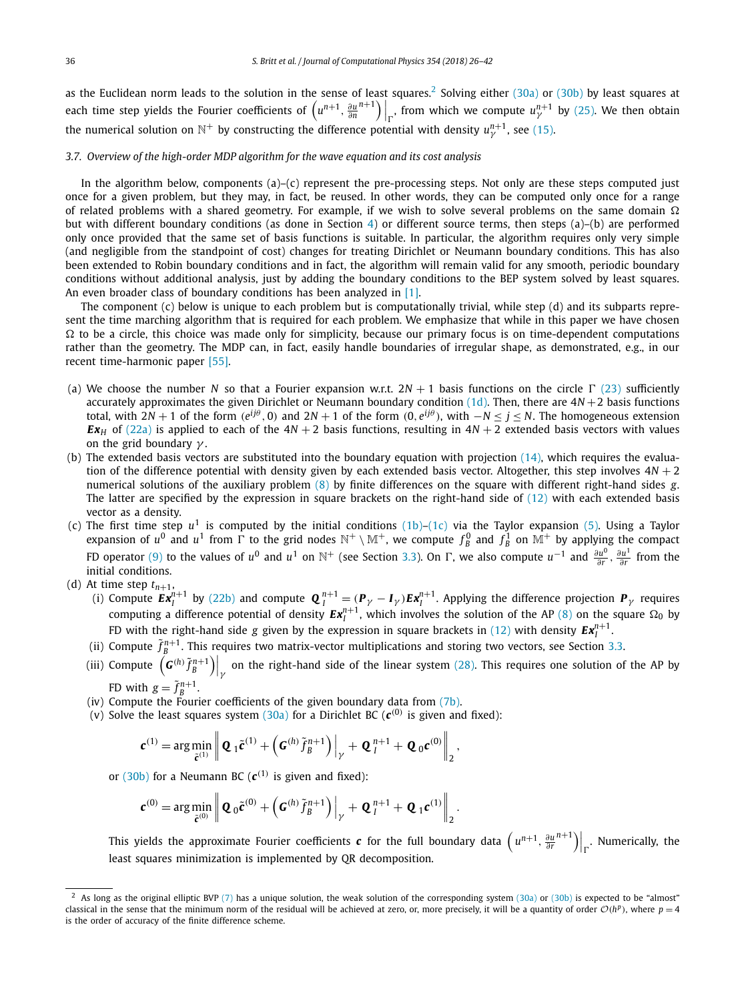<span id="page-10-0"></span>as the Euclidean norm leads to the solution in the sense of least squares.<sup>2</sup> Solving either [\(30a\)](#page-9-0) or [\(30b\)](#page-9-0) by least squares at each time step yields the Fourier coefficients of  $\left(u^{n+1}, \frac{\partial u}{\partial n}\right)$  $\binom{n+1}{\Gamma}$ , from which we compute  $u_{\gamma}^{n+1}$  by [\(25\).](#page-9-0) We then obtain the numerical solution on  $\mathbb{N}^+$  by constructing the difference potential with density  $u_{\gamma}^{n+1}$ , see [\(15\).](#page-6-0)

### *3.7. Overview of the high-order MDP algorithm for the wave equation and its cost analysis*

In the algorithm below, components  $(a)$ – $(c)$  represent the pre-processing steps. Not only are these steps computed just once for a given problem, but they may, in fact, be reused. In other words, they can be computed only once for a range of related problems with a shared geometry. For example, if we wish to solve several problems on the same domain  $\Omega$ but with different boundary conditions (as done in Section [4\)](#page-12-0) or different source terms, then steps (a)–(b) are performed only once provided that the same set of basis functions is suitable. In particular, the algorithm requires only very simple (and negligible from the standpoint of cost) changes for treating Dirichlet or Neumann boundary conditions. This has also been extended to Robin boundary conditions and in fact, the algorithm will remain valid for any smooth, periodic boundary conditions without additional analysis, just by adding the boundary conditions to the BEP system solved by least squares. An even broader class of boundary conditions has been analyzed in [\[1\].](#page-15-0)

The component (c) below is unique to each problem but is computationally trivial, while step (d) and its subparts represent the time marching algorithm that is required for each problem. We emphasize that while in this paper we have chosen  $\Omega$  to be a circle, this choice was made only for simplicity, because our primary focus is on time-dependent computations rather than the geometry. The MDP can, in fact, easily handle boundaries of irregular shape, as demonstrated, e.g., in our recent time-harmonic paper [\[55\].](#page-16-0)

- (a) We choose the number *N* so that a Fourier expansion w.r.t.  $2N + 1$  basis functions on the circle  $\Gamma$  [\(23\)](#page-8-0) sufficiently accurately approximates the given Dirichlet or Neumann boundary condition  $(1d)$ . Then, there are  $4N + 2$  basis functions total, with  $2N + 1$  of the form  $(e^{ij\theta}, 0)$  and  $2N + 1$  of the form  $(0, e^{ij\theta})$ , with  $-N \le j \le N$ . The homogeneous extension *Ex<sub>H</sub>* of [\(22a\)](#page-8-0) is applied to each of the  $4N + 2$  basis functions, resulting in  $4N + 2$  extended basis vectors with values on the grid boundary *γ* .
- (b) The extended basis vectors are substituted into the boundary equation with projection [\(14\),](#page-5-0) which requires the evaluation of the difference potential with density given by each extended basis vector. Altogether, this step involves  $4N + 2$ numerical solutions of the auxiliary problem [\(8\)](#page-3-0) by finite differences on the square with different right-hand sides *g*. The latter are specified by the expression in square brackets on the right-hand side of  $(12)$  with each extended basis vector as a density.
- (c) The first time step  $u^1$  is computed by the initial conditions  $(1b)$ – $(1c)$  via the Taylor expansion [\(5\).](#page-3-0) Using a Taylor expansion of  $u^0$  and  $u^1$  from  $\Gamma$  to the grid nodes  $\mathbb{N}^+ \setminus \mathbb{M}^+$ , we compute  $f_B^0$  and  $f_B^1$  on  $\mathbb{M}^+$  by applying the compact FD operator [\(9\)](#page-4-0) to the values of *u*<sup>0</sup> and *u*<sup>1</sup> on  $\mathbb{N}^+$  (see Section [3.3\)](#page-4-0). On  $\Gamma$ , we also compute *u*<sup>-1</sup> and  $\frac{\partial u^0}{\partial r}$ ,  $\frac{\partial u^1}{\partial r}$  from the initial conditions.
- 
- (d) At time step  $t_{n+1}$ ,<br>
(i) Compute  $\bm{E} \bm{x}_l^{n+1}$  by [\(22b\)](#page-8-0) and compute  $\bm{Q}_l^{n+1} = (\bm{P}_\gamma \bm{I}_\gamma) \bm{E} \bm{x}_l^{n+1}$ . Applying the difference projection  $\bm{P}_\gamma$  requires computing a difference potential of density  $Ex_l^{n+1}$ , which involves the solution of the AP [\(8\)](#page-3-0) on the square  $\Omega_0$  by FD with the right-hand side *g* given by the expression in square brackets in [\(12\)](#page-5-0) with density  $Ex_l^{n+1}$ .
	- (ii) Compute  $\tilde{f}_B^{n+1}$ . This requires two matrix-vector multiplications and storing two vectors, see Section [3.3.](#page-4-0)
	- (iii) Compute  $\left(G^{(h)}\tilde{f}_B^{n+1}\right)\Big|_{\gamma}$  on the right-hand side of the linear system [\(28\).](#page-9-0) This requires one solution of the AP by FD with  $g = \tilde{f}_B^{n+1}$ .
	- (iv) Compute the Fourier coefficients of the given boundary data from [\(7b\).](#page-3-0)
	- (v) Solve the least squares system  $(30a)$  for a Dirichlet BC ( $c^{(0)}$  is given and fixed):

$$
\mathbf{c}^{(1)} = \arg\min_{\tilde{\mathbf{c}}^{(1)}} \left\| \mathbf{Q}_1 \tilde{\mathbf{c}}^{(1)} + \left( \mathbf{G}^{(h)} \tilde{f}_B^{n+1} \right) \Big|_{\gamma} + \mathbf{Q}_I^{n+1} + \mathbf{Q}_0 \mathbf{c}^{(0)} \right\|_2,
$$

or [\(30b\)](#page-9-0) for a Neumann BC ( $c^{(1)}$  is given and fixed):

$$
\boldsymbol{c}^{(0)} = \arg\min_{\tilde{\boldsymbol{c}}^{(0)}} \left\| \boldsymbol{Q}_0 \tilde{\boldsymbol{c}}^{(0)} + \left( \boldsymbol{G}^{(h)} \tilde{f}_B^{n+1} \right) \Big|_{\gamma} + \boldsymbol{Q}_I^{n+1} + \boldsymbol{Q}_1 \boldsymbol{c}^{(1)} \right\|_2.
$$

This yields the approximate Fourier coefficients  $\bm{c}$  for the full boundary data  $\left(u^{n+1}, \frac{\partial u}{\partial r}\right)$  $\binom{n+1}{r}$ . Numerically, the least squares minimization is implemented by QR decomposition.

<sup>&</sup>lt;sup>2</sup> As long as the original elliptic BVP [\(7\)](#page-3-0) has a unique solution, the weak solution of the corresponding system [\(30a\)](#page-9-0) or [\(30b\)](#page-9-0) is expected to be "almost" classical in the sense that the minimum norm of the residual will be achieved at zero, or, more precisely, it will be a quantity of order  $O(h^p)$ , where  $p = 4$ is the order of accuracy of the finite difference scheme.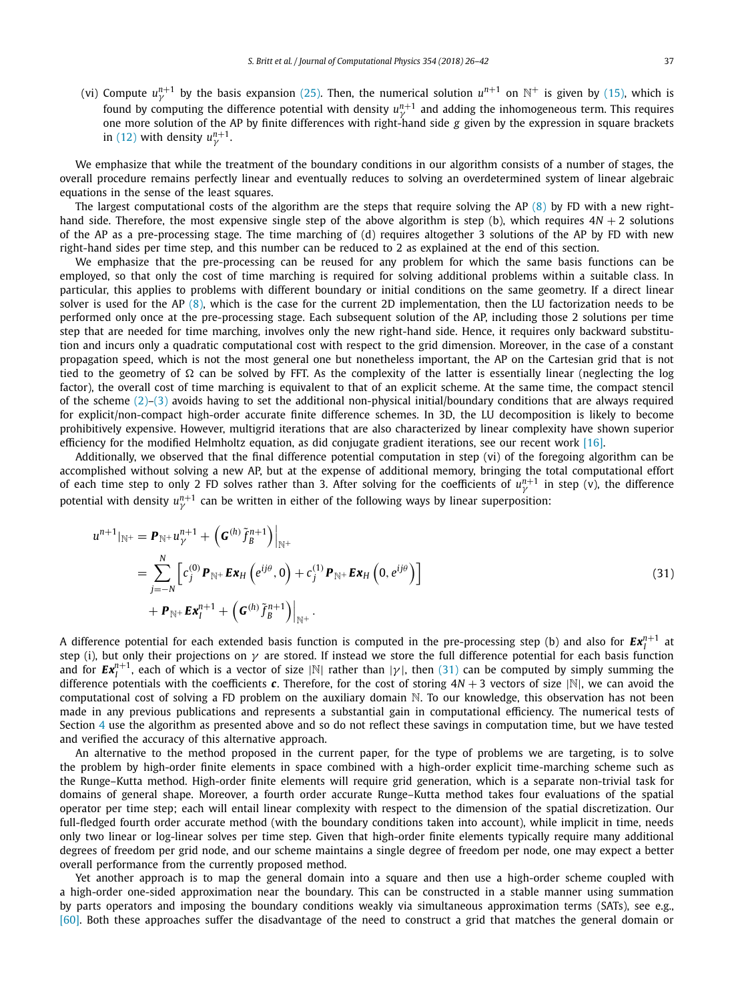(vi) Compute  $u_\gamma^{n+1}$  by the basis expansion [\(25\).](#page-9-0) Then, the numerical solution  $u^{n+1}$  on  $\mathbb{N}^+$  is given by [\(15\),](#page-6-0) which is found by computing the difference potential with density  $u_\gamma^{n+1}$  and adding the inhomogeneous term. This requires one more solution of the AP by finite differences with right-hand side *g* given by the expression in square brackets in [\(12\)](#page-5-0) with density  $u_{\nu}^{n+1}$ .

We emphasize that while the treatment of the boundary conditions in our algorithm consists of a number of stages, the overall procedure remains perfectly linear and eventually reduces to solving an overdetermined system of linear algebraic equations in the sense of the least squares.

The largest computational costs of the algorithm are the steps that require solving the AP  $(8)$  by FD with a new righthand side. Therefore, the most expensive single step of the above algorithm is step (b), which requires  $4N + 2$  solutions of the AP as a pre-processing stage. The time marching of (d) requires altogether 3 solutions of the AP by FD with new right-hand sides per time step, and this number can be reduced to 2 as explained at the end of this section.

We emphasize that the pre-processing can be reused for any problem for which the same basis functions can be employed, so that only the cost of time marching is required for solving additional problems within a suitable class. In particular, this applies to problems with different boundary or initial conditions on the same geometry. If a direct linear solver is used for the AP [\(8\),](#page-3-0) which is the case for the current 2D implementation, then the LU factorization needs to be performed only once at the pre-processing stage. Each subsequent solution of the AP, including those 2 solutions per time step that are needed for time marching, involves only the new right-hand side. Hence, it requires only backward substitution and incurs only a quadratic computational cost with respect to the grid dimension. Moreover, in the case of a constant propagation speed, which is not the most general one but nonetheless important, the AP on the Cartesian grid that is not tied to the geometry of  $\Omega$  can be solved by FFT. As the complexity of the latter is essentially linear (neglecting the log factor), the overall cost of time marching is equivalent to that of an explicit scheme. At the same time, the compact stencil of the scheme  $(2)-(3)$  avoids having to set the additional non-physical initial/boundary conditions that are always required for explicit/non-compact high-order accurate finite difference schemes. In 3D, the LU decomposition is likely to become prohibitively expensive. However, multigrid iterations that are also characterized by linear complexity have shown superior efficiency for the modified Helmholtz equation, as did conjugate gradient iterations, see our recent work [\[16\].](#page-15-0)

Additionally, we observed that the final difference potential computation in step (vi) of the foregoing algorithm can be accomplished without solving a new AP, but at the expense of additional memory, bringing the total computational effort of each time step to only 2 FD solves rather than 3. After solving for the coefficients of  $u^{n+1}_y$  in step (v), the difference potential with density  $u^{n+1}$  can be written in either of the following ways by linear superposition:

$$
u^{n+1}|_{\mathbb{N}^+} = \mathbf{P}_{\mathbb{N}^+} u^{n+1}_{\gamma} + \left( \mathbf{G}^{(h)} \tilde{f}^{n+1}_{B} \right) \Big|_{\mathbb{N}^+} = \sum_{j=-N}^{N} \left[ c_j^{(0)} \mathbf{P}_{\mathbb{N}^+} \mathbf{E} \mathbf{x}_H \left( e^{ij\theta}, 0 \right) + c_j^{(1)} \mathbf{P}_{\mathbb{N}^+} \mathbf{E} \mathbf{x}_H \left( 0, e^{ij\theta} \right) \right] + \mathbf{P}_{\mathbb{N}^+} \mathbf{E} \mathbf{x}_I^{n+1} + \left( \mathbf{G}^{(h)} \tilde{f}_B^{n+1} \right) \Big|_{\mathbb{N}^+} .
$$
 (31)

A difference potential for each extended basis function is computed in the pre-processing step (b) and also for  $Ex^{n+1}_I$  at step (i), but only their projections on *γ* are stored. If instead we store the full difference potential for each basis function and for  $Ex_l^{n+1}$ , each of which is a vector of size |N| rather than  $|\gamma|$ , then (31) can be computed by simply summing the difference potentials with the coefficients *c*. Therefore, for the cost of storing  $4N + 3$  vectors of size  $|\mathbb{N}|$ , we can avoid the computational cost of solving a FD problem on the auxiliary domain N. To our knowledge, this observation has not been made in any previous publications and represents a substantial gain in computational efficiency. The numerical tests of Section [4](#page-12-0) use the algorithm as presented above and so do not reflect these savings in computation time, but we have tested and verified the accuracy of this alternative approach.

An alternative to the method proposed in the current paper, for the type of problems we are targeting, is to solve the problem by high-order finite elements in space combined with a high-order explicit time-marching scheme such as the Runge–Kutta method. High-order finite elements will require grid generation, which is a separate non-trivial task for domains of general shape. Moreover, a fourth order accurate Runge–Kutta method takes four evaluations of the spatial operator per time step; each will entail linear complexity with respect to the dimension of the spatial discretization. Our full-fledged fourth order accurate method (with the boundary conditions taken into account), while implicit in time, needs only two linear or log-linear solves per time step. Given that high-order finite elements typically require many additional degrees of freedom per grid node, and our scheme maintains a single degree of freedom per node, one may expect a better overall performance from the currently proposed method.

Yet another approach is to map the general domain into a square and then use a high-order scheme coupled with a high-order one-sided approximation near the boundary. This can be constructed in a stable manner using summation by parts operators and imposing the boundary conditions weakly via simultaneous approximation terms (SATs), see e.g., [\[60\].](#page-16-0) Both these approaches suffer the disadvantage of the need to construct a grid that matches the general domain or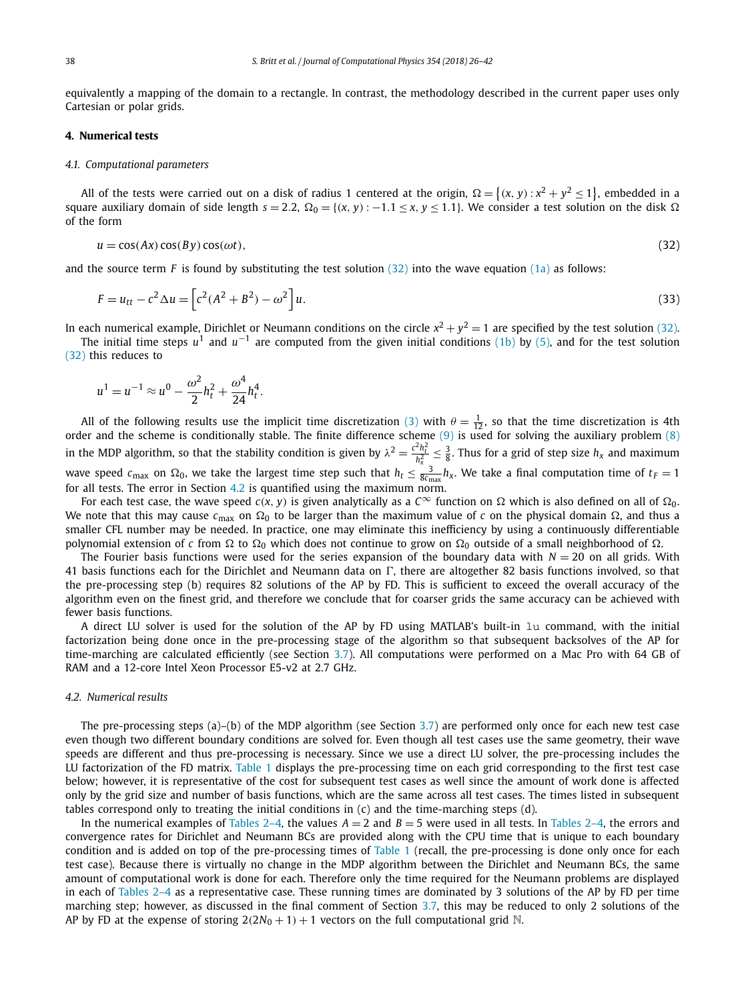<span id="page-12-0"></span>equivalently a mapping of the domain to a rectangle. In contrast, the methodology described in the current paper uses only Cartesian or polar grids.

#### **4. Numerical tests**

#### *4.1. Computational parameters*

All of the tests were carried out on a disk of radius 1 centered at the origin,  $\Omega = \{(x, y) : x^2 + y^2 \le 1\}$ , embedded in a square auxiliary domain of side length  $s = 2.2$ ,  $\Omega_0 = \{(x, y) : -1.1 \le x, y \le 1.1\}$ . We consider a test solution on the disk  $\Omega$ of the form

$$
u = \cos(Ax)\cos(By)\cos(\omega t),\tag{32}
$$

and the source term  $F$  is found by substituting the test solution  $(32)$  into the wave equation  $(1a)$  as follows:

$$
F = u_{tt} - c^2 \Delta u = \left[ c^2 (A^2 + B^2) - \omega^2 \right] u.
$$
\n(33)

In each numerical example, Dirichlet or Neumann conditions on the circle  $x^2 + y^2 = 1$  are specified by the test solution (32).

The initial time steps  $u^1$  and  $u^{-1}$  are computed from the given initial conditions [\(1b\)](#page-0-0) by [\(5\),](#page-3-0) and for the test solution (32) this reduces to

$$
u^{1} = u^{-1} \approx u^{0} - \frac{\omega^{2}}{2}h_{t}^{2} + \frac{\omega^{4}}{24}h_{t}^{4}.
$$

All of the following results use the implicit time discretization [\(3\)](#page-2-0) with  $\theta = \frac{1}{12}$ , so that the time discretization is 4th order and the scheme is conditionally stable. The finite difference scheme [\(9\)](#page-4-0) is used for s in the MDP algorithm, so that the stability condition is given by  $\lambda^2 = \frac{c^2 h_t^2}{h_x^2} \leq \frac{3}{8}$ . Thus for a grid of step size  $h_x$  and maximum wave speed  $c_{\text{max}}$  on  $\Omega_0$ , we take the largest time step such that  $h_t \leq \frac{3}{8c_{\text{max}}}h_x$ . We take a final computation time of  $t_F=1$ for all tests. The error in Section  $4.2$  is quantified using the maximum norm.

For each test case, the wave speed  $c(x, y)$  is given analytically as a  $C^{\infty}$  function on  $\Omega$  which is also defined on all of  $\Omega_0$ . We note that this may cause  $c_{\text{max}}$  on  $\Omega_0$  to be larger than the maximum value of c on the physical domain  $\Omega$ , and thus a smaller CFL number may be needed. In practice, one may eliminate this inefficiency by using a continuously differentiable polynomial extension of *c* from  $\Omega$  to  $\Omega_0$  which does not continue to grow on  $\Omega_0$  outside of a small neighborhood of  $\Omega$ .

The Fourier basis functions were used for the series expansion of the boundary data with  $N = 20$  on all grids. With 41 basis functions each for the Dirichlet and Neumann data on  $\Gamma$ , there are altogether 82 basis functions involved, so that the pre-processing step (b) requires 82 solutions of the AP by FD. This is sufficient to exceed the overall accuracy of the algorithm even on the finest grid, and therefore we conclude that for coarser grids the same accuracy can be achieved with fewer basis functions.

A direct LU solver is used for the solution of the AP by FD using MATLAB's built-in lu command, with the initial factorization being done once in the pre-processing stage of the algorithm so that subsequent backsolves of the AP for time-marching are calculated efficiently (see Section [3.7\)](#page-10-0). All computations were performed on a Mac Pro with 64 GB of RAM and a 12-core Intel Xeon Processor E5-v2 at 2.7 GHz.

#### *4.2. Numerical results*

The pre-processing steps (a)–(b) of the MDP algorithm (see Section [3.7\)](#page-10-0) are performed only once for each new test case even though two different boundary conditions are solved for. Even though all test cases use the same geometry, their wave speeds are different and thus pre-processing is necessary. Since we use a direct LU solver, the pre-processing includes the LU factorization of the FD matrix. [Table 1](#page-13-0) displays the pre-processing time on each grid corresponding to the first test case below; however, it is representative of the cost for subsequent test cases as well since the amount of work done is affected only by the grid size and number of basis functions, which are the same across all test cases. The times listed in subsequent tables correspond only to treating the initial conditions in (c) and the time-marching steps (d).

In the numerical examples of [Tables 2–4,](#page-13-0) the values  $A = 2$  and  $B = 5$  were used in all tests. In Tables 2–4, the errors and convergence rates for Dirichlet and Neumann BCs are provided along with the CPU time that is unique to each boundary condition and is added on top of the pre-processing times of [Table 1](#page-13-0) (recall, the pre-processing is done only once for each test case). Because there is virtually no change in the MDP algorithm between the Dirichlet and Neumann BCs, the same amount of computational work is done for each. Therefore only the time required for the Neumann problems are displayed in each of [Tables 2–4](#page-13-0) as a representative case. These running times are dominated by 3 solutions of the AP by FD per time marching step; however, as discussed in the final comment of Section [3.7,](#page-10-0) this may be reduced to only 2 solutions of the AP by FD at the expense of storing  $2(2N_0 + 1) + 1$  vectors on the full computational grid N.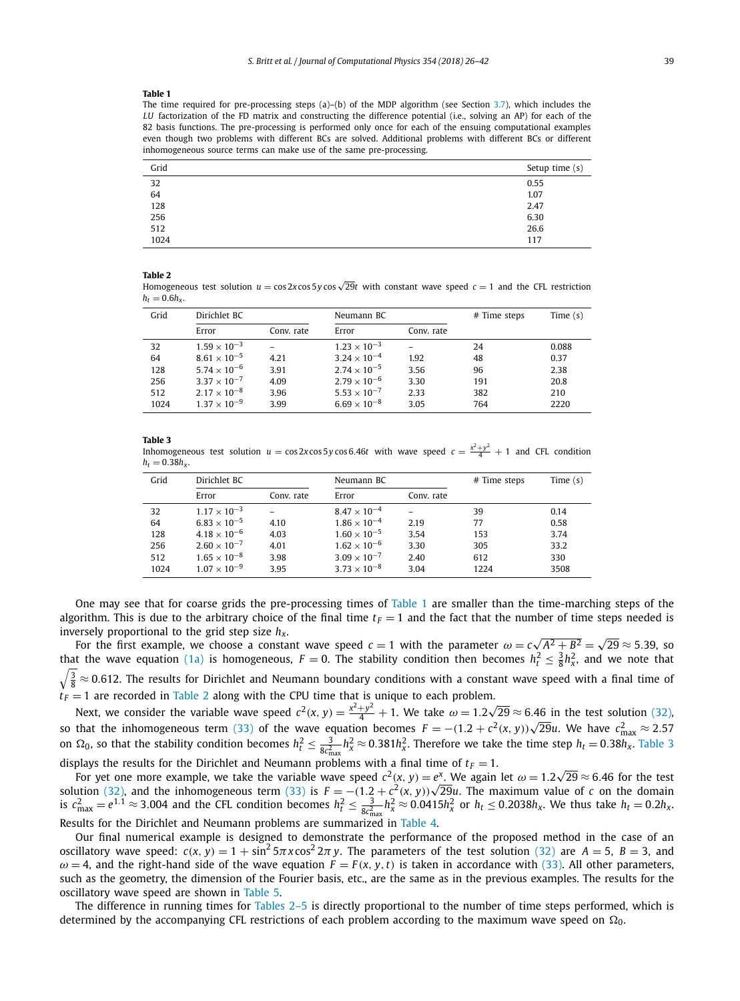#### <span id="page-13-0"></span>**Table 1**

The time required for pre-processing steps (a)–(b) of the MDP algorithm (see Section [3.7\)](#page-10-0), which includes the *LU* factorization of the FD matrix and constructing the difference potential (i.e., solving an AP) for each of the 82 basis functions. The pre-processing is performed only once for each of the ensuing computational examples even though two problems with different BCs are solved. Additional problems with different BCs or different inhomogeneous source terms can make use of the same pre-processing.

| Grid                             | Setup time (s) |
|----------------------------------|----------------|
| 32                               | 0.55           |
| 64                               | 1.07           |
| $\frac{128}{256}$<br>512<br>1024 | 2.47           |
|                                  | 6.30           |
|                                  | 26.6           |
|                                  | 117            |

#### **Table 2**

Homogeneous test solution  $u = \cos 2x \cos 5y \cos \sqrt{29}t$  with constant wave speed  $c = 1$  and the CFL restriction  $h_t = 0.6h_y$ .

| Grid | Dirichlet BC          |            | Neumann BC            |            | # Time steps | Time $(s)$ |
|------|-----------------------|------------|-----------------------|------------|--------------|------------|
|      | Error                 | Conv. rate | Error                 | Conv. rate |              |            |
| 32   | $1.59 \times 10^{-3}$ |            | $1.23 \times 10^{-3}$ |            | 24           | 0.088      |
| 64   | $8.61 \times 10^{-5}$ | 4.21       | $3.24 \times 10^{-4}$ | 1.92       | 48           | 0.37       |
| 128  | $5.74 \times 10^{-6}$ | 3.91       | $2.74 \times 10^{-5}$ | 3.56       | 96           | 2.38       |
| 256  | $3.37 \times 10^{-7}$ | 4.09       | $2.79 \times 10^{-6}$ | 3.30       | 191          | 20.8       |
| 512  | $2.17 \times 10^{-8}$ | 3.96       | $5.53 \times 10^{-7}$ | 2.33       | 382          | 210        |
| 1024 | $1.37 \times 10^{-9}$ | 3.99       | $6.69 \times 10^{-8}$ | 3.05       | 764          | 2220       |

#### **Table 3**

Inhomogeneous test solution  $u = \cos 2x \cos 5y \cos 6.46t$  with wave speed  $c = \frac{x^2 + y^2}{4} + 1$  and CFL condition  $h_t = 0.38 h_x$ .

| Grid | Dirichlet BC          |            | Neumann BC            |            | # Time steps | Time $(s)$ |
|------|-----------------------|------------|-----------------------|------------|--------------|------------|
|      | Error                 | Conv. rate | Error                 | Conv. rate |              |            |
| 32   | $1.17 \times 10^{-3}$ |            | $8.47 \times 10^{-4}$ |            | 39           | 0.14       |
| 64   | $6.83 \times 10^{-5}$ | 4.10       | $1.86 \times 10^{-4}$ | 2.19       | 77           | 0.58       |
| 128  | $4.18 \times 10^{-6}$ | 4.03       | $1.60 \times 10^{-5}$ | 3.54       | 153          | 3.74       |
| 256  | $2.60 \times 10^{-7}$ | 4.01       | $1.62 \times 10^{-6}$ | 3.30       | 305          | 33.2       |
| 512  | $1.65 \times 10^{-8}$ | 3.98       | $3.09 \times 10^{-7}$ | 2.40       | 612          | 330        |
| 1024 | $1.07 \times 10^{-9}$ | 3.95       | $3.73 \times 10^{-8}$ | 3.04       | 1224         | 3508       |

One may see that for coarse grids the pre-processing times of Table 1 are smaller than the time-marching steps of the algorithm. This is due to the arbitrary choice of the final time  $t_F = 1$  and the fact that the number of time steps needed is inversely proportional to the grid step size *hx*.

ersely proportional to the grid step size  $h_x$ .<br>For the first example, we choose a constant wave speed  $c=1$  with the parameter  $\omega=c\sqrt{A^2+B^2}=\sqrt{29}\approx 5.39$ , so that the wave equation [\(1a\)](#page-0-0) is homogeneous,  $F = 0$ . The stability condition then becomes  $h_t^2 \leq \frac{3}{8} h_x^2$ , and we note that  $\sqrt{\frac{3}{8}}\approx 0.612$ . The results for Dirichlet and Neumann boundary conditions with a constant wave speed with a final time of *t <sup>F</sup>* = 1 are recorded in Table 2 along with the CPU time that is unique to each problem.

Next, we consider the variable wave speed  $c^2(x, y) = \frac{x^2 + y^2}{4} + 1$ . We take  $\omega = 1.2\sqrt{29} \approx 6.46$  in the test solution [\(32\),](#page-12-0) so that the inhomogeneous term [\(33\)](#page-12-0) of the wave equation becomes  $F = -(1.2 + c^2(x, y))\sqrt{29}u$ . We have  $c_{\text{max}}^2 \approx 2.57$ on  $\Omega_0$ , so that the stability condition becomes  $h_t^2 \leq \frac{3}{8c_{\max}^2}h_x^2 \approx 0.381h_x^2$ . Therefore we take the time step  $h_t = 0.38h_x$ . Table 3

displays the results for the Dirichlet and Neumann problems with a final time of  $t_F = 1$ .

plays the results for the Dirichlet and Neumann problems with a final time of  $t_F = 1$ .<br>For yet one more example, we take the variable wave speed  $c^2(x, y) = e^x$ . We again let  $\omega = 1.2\sqrt{29} \approx 6.46$  for the test For yet one more example, we take the variable wave speed  $c^2(x, y) = e^{\alpha}$ . We again let  $\omega = 1.2\sqrt{29} \approx 6.46$  for the est colution [\(32\),](#page-12-0) and the inhomogeneous term [\(33\)](#page-12-0) is  $F = -(1.2 + c^2(x, y))\sqrt{29}u$ . The maximum value of is  $c_{\text{max}}^2 = e^{1.1} \approx 3.004$  and the CFL condition becomes  $h_t^2 \leq \frac{3}{8c_{\text{max}}^2} h_x^2 \approx 0.0415h_x^2$  or  $h_t \leq 0.2038h_x$ . We thus take  $h_t = 0.2h_x$ . Results for the Dirichlet and Neumann problems are summarized in [Table 4.](#page-14-0)

Our final numerical example is designed to demonstrate the performance of the proposed method in the case of an oscillatory wave speed:  $c(x, y) = 1 + \sin^2 5\pi x \cos^2 2\pi y$ . The parameters of the test solution [\(32\)](#page-12-0) are  $A = 5$ ,  $B = 3$ , and  $\omega = 4$ , and the right-hand side of the wave equation  $F = F(x, y, t)$  is taken in accordance with [\(33\).](#page-12-0) All other parameters, such as the geometry, the dimension of the Fourier basis, etc., are the same as in the previous examples. The results for the oscillatory wave speed are shown in [Table 5.](#page-14-0)

The difference in running times for Tables 2–5 is directly proportional to the number of time steps performed, which is determined by the accompanying CFL restrictions of each problem according to the maximum wave speed on  $\Omega_0$ .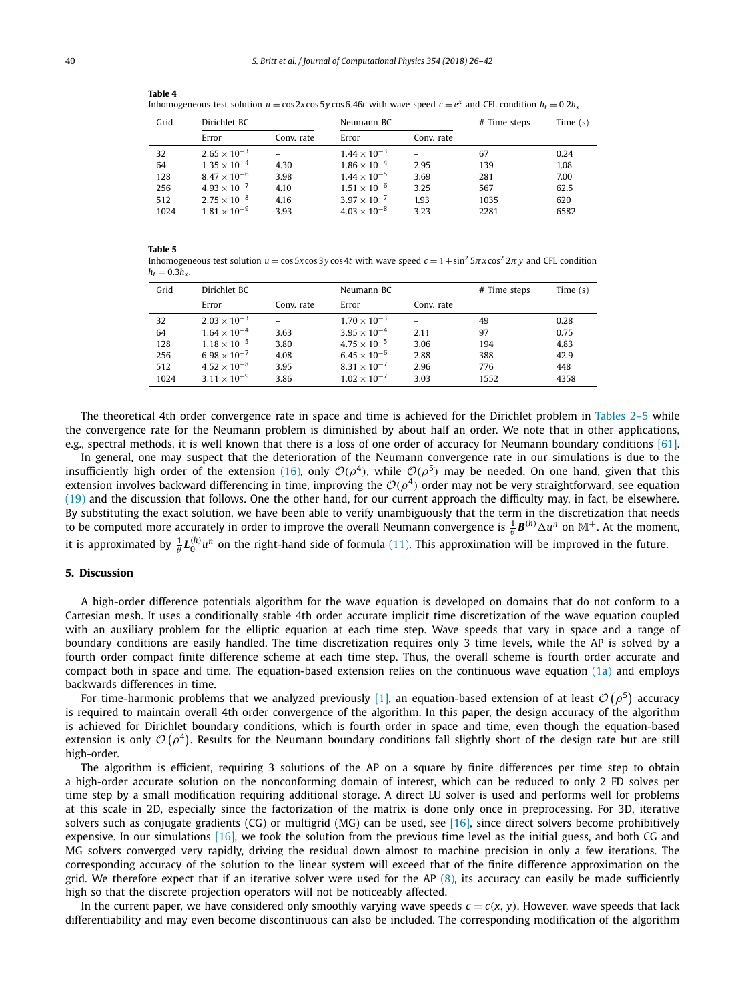| Inhomogeneous test solution $u = \cos 2x \cos 5y \cos 6.46t$ with wave speed $c = e^x$ and CFL condition $h_t = 0.2h_x$ . |                       |            |                       |            |              |            |  |
|---------------------------------------------------------------------------------------------------------------------------|-----------------------|------------|-----------------------|------------|--------------|------------|--|
| Grid                                                                                                                      | Dirichlet BC          |            | Neumann BC            |            | # Time steps | Time $(s)$ |  |
|                                                                                                                           | Error                 | Conv. rate | Error                 | Conv. rate |              |            |  |
| 32                                                                                                                        | $2.65 \times 10^{-3}$ |            | $1.44 \times 10^{-3}$ |            | 67           | 0.24       |  |
| 64                                                                                                                        | $1.35 \times 10^{-4}$ | 4.30       | $1.86 \times 10^{-4}$ | 2.95       | 139          | 1.08       |  |
| 128                                                                                                                       | $8.47 \times 10^{-6}$ | 3.98       | $1.44 \times 10^{-5}$ | 3.69       | 281          | 7.00       |  |
| 256                                                                                                                       | $4.93 \times 10^{-7}$ | 4.10       | $1.51 \times 10^{-6}$ | 3.25       | 567          | 62.5       |  |
| 512                                                                                                                       | $2.75 \times 10^{-8}$ | 4.16       | $3.97 \times 10^{-7}$ | 1.93       | 1035         | 620        |  |

1024 1*.*81 × 10−<sup>9</sup> 3.93 4*.*03 × 10−<sup>8</sup> 3.23 2281 6582

#### <span id="page-14-0"></span>**Table 4**

#### **Table 5**

Inhomogeneous test solution  $u = \cos 5x \cos 3y \cos 4t$  with wave speed  $c = 1 + \sin^2 5\pi x \cos^2 2\pi y$  and CFL condition  $h_t = 0.3h_x$ .

| Grid | Dirichlet BC          |            | Neumann BC            |            | # Time steps | Time $(s)$ |
|------|-----------------------|------------|-----------------------|------------|--------------|------------|
|      | Error                 | Conv. rate | Error                 | Conv. rate |              |            |
| 32   | $2.03 \times 10^{-3}$ |            | $1.70 \times 10^{-3}$ |            | 49           | 0.28       |
| 64   | $1.64 \times 10^{-4}$ | 3.63       | $3.95 \times 10^{-4}$ | 2.11       | 97           | 0.75       |
| 128  | $1.18 \times 10^{-5}$ | 3.80       | $4.75 \times 10^{-5}$ | 3.06       | 194          | 4.83       |
| 256  | $6.98 \times 10^{-7}$ | 4.08       | $6.45 \times 10^{-6}$ | 2.88       | 388          | 42.9       |
| 512  | $4.52 \times 10^{-8}$ | 3.95       | $8.31 \times 10^{-7}$ | 2.96       | 776          | 448        |
| 1024 | $3.11 \times 10^{-9}$ | 3.86       | $1.02 \times 10^{-7}$ | 3.03       | 1552         | 4358       |

The theoretical 4th order convergence rate in space and time is achieved for the Dirichlet problem in [Tables 2–5](#page-13-0) while the convergence rate for the Neumann problem is diminished by about half an order. We note that in other applications, e.g., spectral methods, it is well known that there is a loss of one order of accuracy for Neumann boundary conditions [\[61\].](#page-16-0)

In general, one may suspect that the deterioration of the Neumann convergence rate in our simulations is due to the insufficiently high order of the extension [\(16\),](#page-6-0) only  $O(\rho^4)$ , while  $O(\rho^5)$  may be needed. On one hand, given that this extension involves backward differencing in time, improving the  $O(\rho^4)$  order may not be very straightforward, see equation [\(19\)](#page-7-0) and the discussion that follows. One the other hand, for our current approach the difficulty may, in fact, be elsewhere. By substituting the exact solution, we have been able to verify unambiguously that the term in the discretization that needs to be computed more accurately in order to improve the overall Neumann convergence is  $\frac{1}{\theta}B^{(h)}\Delta u^n$  on  $\mathbb{M}^+$ . At the moment, it is approximated by  $\frac{1}{\theta}L_0^{(h)}u^n$  on the right-hand side of formula [\(11\).](#page-5-0) This approximation will be improved in the future.

#### **5. Discussion**

A high-order difference potentials algorithm for the wave equation is developed on domains that do not conform to a Cartesian mesh. It uses a conditionally stable 4th order accurate implicit time discretization of the wave equation coupled with an auxiliary problem for the elliptic equation at each time step. Wave speeds that vary in space and a range of boundary conditions are easily handled. The time discretization requires only 3 time levels, while the AP is solved by a fourth order compact finite difference scheme at each time step. Thus, the overall scheme is fourth order accurate and compact both in space and time. The equation-based extension relies on the continuous wave equation [\(1a\)](#page-0-0) and employs backwards differences in time.

For time-harmonic problems that we analyzed previously [\[1\],](#page-15-0) an equation-based extension of at least  $\mathcal{O}(\rho^5)$  accuracy is required to maintain overall 4th order convergence of the algorithm. In this paper, the design accuracy of the algorithm is achieved for Dirichlet boundary conditions, which is fourth order in space and time, even though the equation-based extension is only  $\mathcal{O}(\rho^4)$ . Results for the Neumann boundary conditions fall slightly short of the design rate but are still high-order.

The algorithm is efficient, requiring 3 solutions of the AP on a square by finite differences per time step to obtain a high-order accurate solution on the nonconforming domain of interest, which can be reduced to only 2 FD solves per time step by a small modification requiring additional storage. A direct LU solver is used and performs well for problems at this scale in 2D, especially since the factorization of the matrix is done only once in preprocessing. For 3D, iterative solvers such as conjugate gradients (CG) or multigrid (MG) can be used, see [\[16\],](#page-15-0) since direct solvers become prohibitively expensive. In our simulations [\[16\],](#page-15-0) we took the solution from the previous time level as the initial guess, and both CG and MG solvers converged very rapidly, driving the residual down almost to machine precision in only a few iterations. The corresponding accuracy of the solution to the linear system will exceed that of the finite difference approximation on the grid. We therefore expect that if an iterative solver were used for the AP  $(8)$ , its accuracy can easily be made sufficiently high so that the discrete projection operators will not be noticeably affected.

In the current paper, we have considered only smoothly varying wave speeds  $c = c(x, y)$ . However, wave speeds that lack differentiability and may even become discontinuous can also be included. The corresponding modification of the algorithm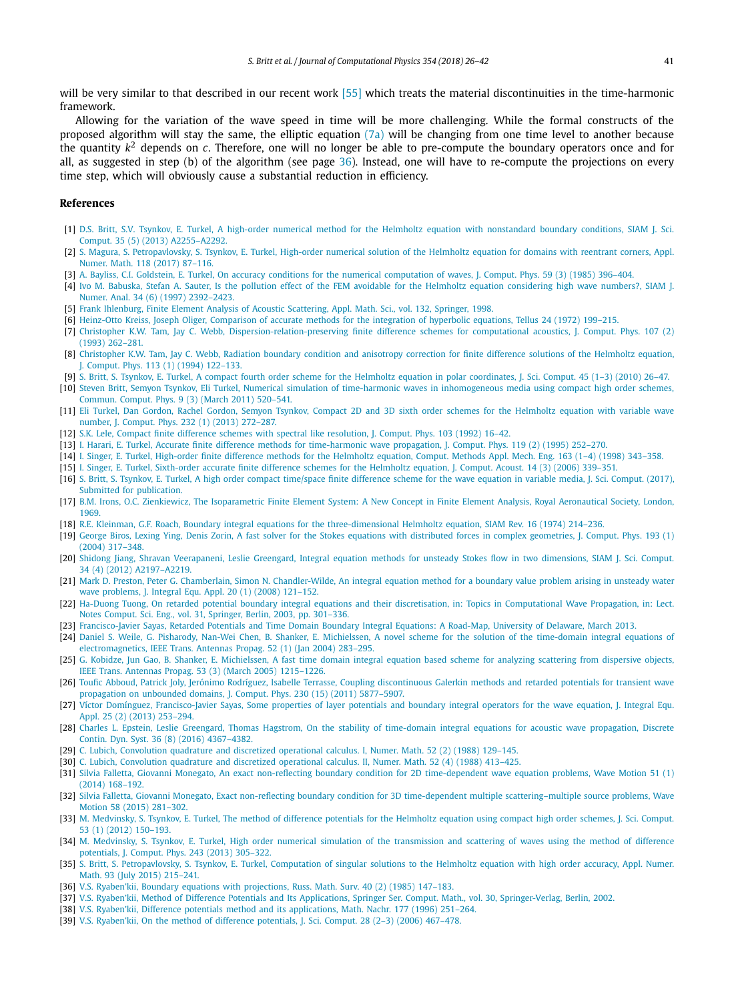<span id="page-15-0"></span>will be very similar to that described in our recent work [\[55\]](#page-16-0) which treats the material discontinuities in the time-harmonic framework.

Allowing for the variation of the wave speed in time will be more challenging. While the formal constructs of the proposed algorithm will stay the same, the elliptic equation  $(7a)$  will be changing from one time level to another because the quantity  $k^2$  depends on c. Therefore, one will no longer be able to pre-compute the boundary operators once and for all, as suggested in step (b) of the algorithm (see page [36\)](#page-10-0). Instead, one will have to re-compute the projections on every time step, which will obviously cause a substantial reduction in efficiency.

### **References**

- [1] D.S. Britt, S.V. Tsynkov, E. Turkel, A high-order numerical method for the Helmholtz equation with [nonstandard](http://refhub.elsevier.com/S0021-9991(17)30816-1/bib627269747432303133s1) boundary conditions, SIAM J. Sci. Comput. 35 (5) (2013) [A2255–A2292.](http://refhub.elsevier.com/S0021-9991(17)30816-1/bib627269747432303133s1)
- [2] S. Magura, S. [Petropavlovsky,](http://refhub.elsevier.com/S0021-9991(17)30816-1/bib61373565s1) S. Tsynkov, E. Turkel, High-order numerical solution of the Helmholtz equation for domains with reentrant corners, Appl. Numer. Math. 118 (2017) [87–116.](http://refhub.elsevier.com/S0021-9991(17)30816-1/bib61373565s1)
- [3] A. Bayliss, C.I. Goldstein, E. Turkel, On accuracy conditions for the numerical [computation](http://refhub.elsevier.com/S0021-9991(17)30816-1/bib616363s1) of waves, J. Comput. Phys. 59 (3) (1985) 396-404.
- [4] Ivo M. Babuska, Stefan A. Sauter, Is the pollution effect of the FEM avoidable for the Helmholtz equation [considering](http://refhub.elsevier.com/S0021-9991(17)30816-1/bib42616275736B613937s1) high wave numbers?, SIAM J. Numer. Anal. 34 (6) (1997) [2392–2423.](http://refhub.elsevier.com/S0021-9991(17)30816-1/bib42616275736B613937s1)
- [5] Frank Ihlenburg, Finite Element Analysis of Acoustic [Scattering,](http://refhub.elsevier.com/S0021-9991(17)30816-1/bib49686C656E627572673938s1) Appl. Math. Sci., vol. 132, Springer, 1998.
- [6] Heinz-Otto Kreiss, Joseph Oliger, [Comparison](http://refhub.elsevier.com/S0021-9991(17)30816-1/bib6B72656973732D3732s1) of accurate methods for the integration of hyperbolic equations, Tellus 24 (1972) 199–215.
- [7] Christopher K.W. Tam, Jay C. Webb, [Dispersion-relation-preserving](http://refhub.elsevier.com/S0021-9991(17)30816-1/bib74616D31s1) finite difference schemes for computational acoustics, J. Comput. Phys. 107 (2) (1993) [262–281.](http://refhub.elsevier.com/S0021-9991(17)30816-1/bib74616D31s1)
- [8] [Christopher](http://refhub.elsevier.com/S0021-9991(17)30816-1/bib74616D32s1) K.W. Tam, Jay C. Webb, Radiation boundary condition and anisotropy correction for finite difference solutions of the Helmholtz equation, J. Comput. Phys. 113 (1) (1994) [122–133.](http://refhub.elsevier.com/S0021-9991(17)30816-1/bib74616D32s1)
- [9] S. Britt, S. Tsynkov, E. Turkel, A compact fourth order scheme for the Helmholtz equation in polar [coordinates,](http://refhub.elsevier.com/S0021-9991(17)30816-1/bib61353865s1) J. Sci. Comput. 45 (1–3) (2010) 26–47. [10] Steven Britt, Semyon Tsynkov, Eli Turkel, Numerical simulation of time-harmonic waves in [inhomogeneous](http://refhub.elsevier.com/S0021-9991(17)30816-1/bib627269747432303131s1) media using compact high order schemes,
- [Commun.](http://refhub.elsevier.com/S0021-9991(17)30816-1/bib627269747432303131s1) Comput. Phys. 9 (3) (March 2011) 520–541.
- [11] Eli Turkel, Dan Gordon, Rachel Gordon, Semyon Tsynkov, Compact 2D and 3D sixth order schemes for the [Helmholtz](http://refhub.elsevier.com/S0021-9991(17)30816-1/bib61363865s1) equation with variable wave number, J. Comput. Phys. 232 (1) (2013) [272–287.](http://refhub.elsevier.com/S0021-9991(17)30816-1/bib61363865s1)
- [12] S.K. Lele, Compact finite difference schemes with spectral like [resolution,](http://refhub.elsevier.com/S0021-9991(17)30816-1/bib6C656C65s1) J. Comput. Phys. 103 (1992) 16–42.
- [13] I. Harari, E. Turkel, Accurate finite difference methods for [time-harmonic](http://refhub.elsevier.com/S0021-9991(17)30816-1/bib6861726172692D7475726B656C2D3935s1) wave propagation, J. Comput. Phys. 119 (2) (1995) 252–270.
- [14] I. Singer, E. Turkel, [High-order](http://refhub.elsevier.com/S0021-9991(17)30816-1/bib73696E67657231393938s1) finite difference methods for the Helmholtz equation, Comput. Methods Appl. Mech. Eng. 163 (1–4) (1998) 343–358.
- [15] I. Singer, E. Turkel, [Sixth-order](http://refhub.elsevier.com/S0021-9991(17)30816-1/bib73696E6765722D7475726B656C2D3036s1) accurate finite difference schemes for the Helmholtz equation, J. Comput. Acoust. 14 (3) (2006) 339–351.
- [16] S. Britt, S. Tsynkov, E. Turkel, A high order compact [time/space](http://refhub.elsevier.com/S0021-9991(17)30816-1/bib627269747432303136s1) finite difference scheme for the wave equation in variable media, J. Sci. Comput. (2017), Submitted for [publication.](http://refhub.elsevier.com/S0021-9991(17)30816-1/bib627269747432303136s1)
- [17] B.M. Irons, O.C. Zienkiewicz, The [Isoparametric](http://refhub.elsevier.com/S0021-9991(17)30816-1/bib69726F6E732D31393736s1) Finite Element System: A New Concept in Finite Element Analysis, Royal Aeronautical Society, London, [1969.](http://refhub.elsevier.com/S0021-9991(17)30816-1/bib69726F6E732D31393736s1)
- [18] R.E. Kleinman, G.F. Roach, Boundary integral equations for the [three-dimensional](http://refhub.elsevier.com/S0021-9991(17)30816-1/bib6B6C65696E6D616E2D3734s1) Helmholtz equation, SIAM Rev. 16 (1974) 214–236.
- [19] George Biros, Lexing Ying, Denis Zorin, A fast solver for the Stokes equations with distributed forces in complex [geometries,](http://refhub.elsevier.com/S0021-9991(17)30816-1/bib6269726F732D3034s1) J. Comput. Phys. 193 (1) (2004) [317–348.](http://refhub.elsevier.com/S0021-9991(17)30816-1/bib6269726F732D3034s1)
- [20] Shidong Jiang, Shravan [Veerapaneni,](http://refhub.elsevier.com/S0021-9991(17)30816-1/bib6A69616E672D3132s1) Leslie Greengard, Integral equation methods for unsteady Stokes flow in two dimensions, SIAM J. Sci. Comput. 34 (4) (2012) [A2197–A2219.](http://refhub.elsevier.com/S0021-9991(17)30816-1/bib6A69616E672D3132s1)
- [21] Mark D. Preston, Peter G. Chamberlain, Simon N. [Chandler-Wilde,](http://refhub.elsevier.com/S0021-9991(17)30816-1/bib70726573746F6E2D3038s1) An integral equation method for a boundary value problem arising in unsteady water wave [problems,](http://refhub.elsevier.com/S0021-9991(17)30816-1/bib70726573746F6E2D3038s1) J. Integral Equ. Appl. 20 (1) (2008) 121–152.
- [22] Ha-Duong Tuong, On retarded potential boundary integral equations and their discretisation, in: Topics in [Computational](http://refhub.elsevier.com/S0021-9991(17)30816-1/bib68612D64756F6E672D32303033s1) Wave Propagation, in: Lect. Notes Comput. Sci. Eng., vol. 31, Springer, Berlin, 2003, [pp. 301–336.](http://refhub.elsevier.com/S0021-9991(17)30816-1/bib68612D64756F6E672D32303033s1)
- [23] [Francisco-Javier](http://refhub.elsevier.com/S0021-9991(17)30816-1/bib73617961732D3230313362s1) Sayas, Retarded Potentials and Time Domain Boundary Integral Equations: A Road-Map, University of Delaware, March 2013.
- [24] Daniel S. Weile, G. Pisharody, Nan-Wei Chen, B. Shanker, E. Michielssen, A novel scheme for the solution of the [time-domain](http://refhub.elsevier.com/S0021-9991(17)30816-1/bib6D6963682D32303034s1) integral equations of [electromagnetics,](http://refhub.elsevier.com/S0021-9991(17)30816-1/bib6D6963682D32303034s1) IEEE Trans. Antennas Propag. 52 (1) (Jan 2004) 283–295.
- [25] G. Kobidze, Jun Gao, B. Shanker, E. [Michielssen,](http://refhub.elsevier.com/S0021-9991(17)30816-1/bib6D6963682D32303035s1) A fast time domain integral equation based scheme for analyzing scattering from dispersive objects, IEEE Trans. Antennas Propag. 53 (3) (March 2005) [1215–1226.](http://refhub.elsevier.com/S0021-9991(17)30816-1/bib6D6963682D32303035s1)
- [26] Toufic Abboud, Patrick Joly, Jerónimo Rodríguez, Isabelle Terrasse, Coupling [discontinuous](http://refhub.elsevier.com/S0021-9991(17)30816-1/bib6162626F75642D32303131s1) Galerkin methods and retarded potentials for transient wave [propagation](http://refhub.elsevier.com/S0021-9991(17)30816-1/bib6162626F75642D32303131s1) on unbounded domains, J. Comput. Phys. 230 (15) (2011) 5877–5907.
- [27] Víctor Domínguez, [Francisco-Javier](http://refhub.elsevier.com/S0021-9991(17)30816-1/bib73617961732D3230313361s1) Sayas, Some properties of layer potentials and boundary integral operators for the wave equation, J. Integral Equ. Appl. 25 (2) (2013) [253–294.](http://refhub.elsevier.com/S0021-9991(17)30816-1/bib73617961732D3230313361s1)
- [28] Charles L. Epstein, Leslie Greengard, Thomas Hagstrom, On the stability of [time-domain](http://refhub.elsevier.com/S0021-9991(17)30816-1/bib6861677374726F6D2D3230313662s1) integral equations for acoustic wave propagation, Discrete Contin. Dyn. Syst. 36 (8) (2016) [4367–4382.](http://refhub.elsevier.com/S0021-9991(17)30816-1/bib6861677374726F6D2D3230313662s1)
- [29] C. Lubich, [Convolution](http://refhub.elsevier.com/S0021-9991(17)30816-1/bib6C75626963682D3139383861s1) quadrature and discretized operational calculus. I, Numer. Math. 52 (2) (1988) 129–145.
- [30] C. Lubich, [Convolution](http://refhub.elsevier.com/S0021-9991(17)30816-1/bib6C75626963682D3139383862s1) quadrature and discretized operational calculus. II, Numer. Math. 52 (4) (1988) 413–425.
- [31] Silvia Falletta, Giovanni Monegato, An exact non-reflecting boundary condition for 2D [time-dependent](http://refhub.elsevier.com/S0021-9991(17)30816-1/bib66616C6C657474612D3230313462s1) wave equation problems, Wave Motion 51 (1) (2014) [168–192.](http://refhub.elsevier.com/S0021-9991(17)30816-1/bib66616C6C657474612D3230313462s1)
- [32] Silvia Falletta, Giovanni Monegato, Exact non-reflecting boundary condition for 3D time-dependent multiple [scattering–multiple](http://refhub.elsevier.com/S0021-9991(17)30816-1/bib66616C6C657474612D32303135s1) source problems, Wave Motion 58 (2015) [281–302.](http://refhub.elsevier.com/S0021-9991(17)30816-1/bib66616C6C657474612D32303135s1)
- [33] M. [Medvinsky,](http://refhub.elsevier.com/S0021-9991(17)30816-1/bib6D656476696E736B7932303132s1) S. Tsynkov, E. Turkel, The method of difference potentials for the Helmholtz equation using compact high order schemes, J. Sci. Comput. 53 (1) (2012) [150–193.](http://refhub.elsevier.com/S0021-9991(17)30816-1/bib6D656476696E736B7932303132s1)
- [34] M. Medvinsky, S. Tsynkov, E. Turkel, High order numerical simulation of the [transmission](http://refhub.elsevier.com/S0021-9991(17)30816-1/bib61363965s1) and scattering of waves using the method of difference [potentials,](http://refhub.elsevier.com/S0021-9991(17)30816-1/bib61363965s1) J. Comput. Phys. 243 (2013) 305–322.
- [35] S. Britt, S. [Petropavlovsky,](http://refhub.elsevier.com/S0021-9991(17)30816-1/bib627269747432303135s1) S. Tsynkov, E. Turkel, Computation of singular solutions to the Helmholtz equation with high order accuracy, Appl. Numer. Math. 93 (July 2015) [215–241.](http://refhub.elsevier.com/S0021-9991(17)30816-1/bib627269747432303135s1)
- [36] V.S. Ryaben'kii, Boundary equations with [projections,](http://refhub.elsevier.com/S0021-9991(17)30816-1/bib524D5331393835s1) Russ. Math. Surv. 40 (2) (1985) 147–183.
- [37] V.S. Ryaben'kii, Method of Difference Potentials and Its Applications, Springer Ser. Comput. Math., vol. 30, [Springer-Verlag,](http://refhub.elsevier.com/S0021-9991(17)30816-1/bib72796162656E6B6969s1) Berlin, 2002.
- [38] V.S. Ryaben'kii, Difference potentials method and its [applications,](http://refhub.elsevier.com/S0021-9991(17)30816-1/bib727961625F746C762D3936s1) Math. Nachr. 177 (1996) 251–264.
- [39] V.S. [Ryaben'kii,](http://refhub.elsevier.com/S0021-9991(17)30816-1/bib727961625F676F742D3036s1) On the method of difference potentials, J. Sci. Comput. 28 (2–3) (2006) 467–478.